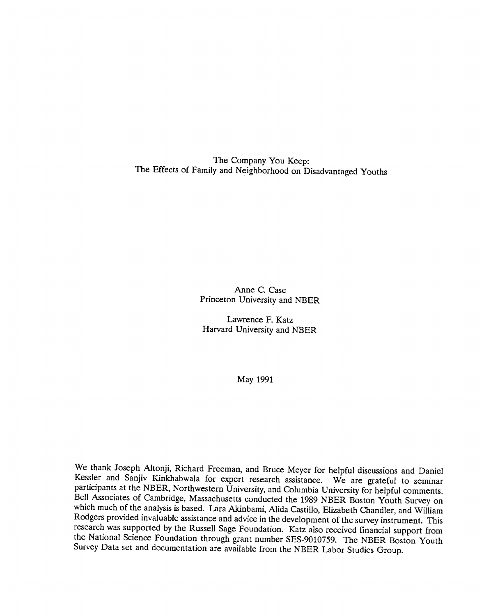The Company You Keep: The Effects of Family and Neighborhood on Disadvantaged Youths

> Anne C. Case Princeton University and NBER

Lawrence F. Katz Harvard University and NBER

May 1991

We thank Joseph Altonji, Richard Freeman, and Bruce Meyer for helpful discussions and Daniel Kessler and Sanjiv Kinkhabwala for expert research assistance. We are grateful to seminar participants at the NBER, Northwestern University, and Columbia University for helpful comments.<br>Bell Associates of Cambridge, Massachusetts conducted the 1989 NBER Boston Youth Survey on which much of the analysis is based. Lara Akinbami, Alida Castillo, Elizabeth Chandler, and William Rodgers provided invaluable assistance and advice in the development of the survey instrument. This research was supported by the Russell Sage Foundation. Katz also received financial support from the National Science Foundation through grant number SES-9010759. The NBER Boston Youth Survey Data set and documentation are available from the NBER Labor Studies Group.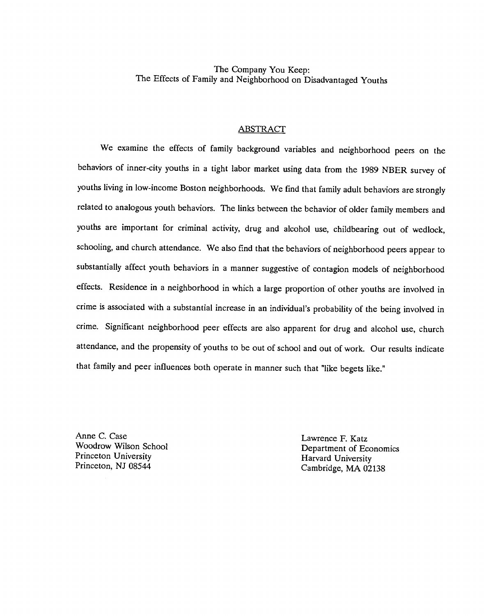The Company You Keep: The Effects of Family and Neighborhood on Disadvantaged Youths

#### ABSTRACT

We examine the effects of family background variables and neighborhood peers on the behaviors of inner-city youths in a tight labor market using data from the 1989 NBER survey of youths living in low-income Boston neighborhoods. We find that family adult behaviors are strongly related to analogous youth behaviors. The links between the behavior of older family members and youths are important for criminal activity, drug and alcohol use, childbearing out of wedlock, schooling, and church attendance. We also find that the behaviors of neighborhood peers appear to substantially affect youth behaviors in a manner suggestive of contagion models of neighborhood effects. Residence in a neighborhood in which a large proportion of other youths are involved in crime is associated with a substantial increase in an individual's probability of the being involved in crime. Significant neighborhood peer effects are also apparent for drug and alcohol use, church attendance, and the propensity of youths to be out of school and out of work. Our results indicate that family and peer influences both operate in manner such that "like begets like."

Anne C. Case Lawrence F. Katz<br>Woodrow Wilson School Lawrence F. Katz<br>Denartment of Eq.

Woodrow Wilson School Department of Economics<br>
Princeton University<br>
Harvard University<br>
Harvard University Princeton, NJ 08544 Cambridge, MA 02138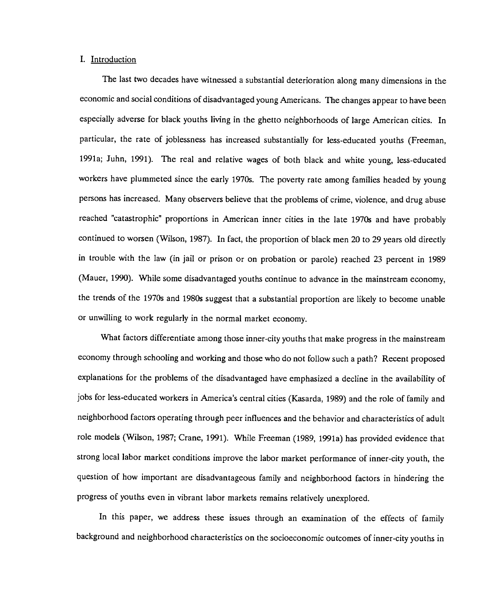#### I. Introduction

The last two decades have witnessed a substantial deterioration along many dimensions in the economic and social conditions of disadvantaged young Americans. The changes appear to have been especially adverse for black youths living in the ghetto neighborhoods of large American cities. In particular, the rate of joblessness has increased substantially for less-educated youths (Freeman, 1991a; Juhn, 1991). The real and relative wages of both black and white young, less-educated workers have plummeted since the early 1970s. The poverty rate among families headed by young persons has increased. Many observers believe that the problems of crime, violence, and drug abuse reached "catastrophic" proportions in American inner cities in the late 1970s and have probably continued to worsen (Wilson, 1987). In fact, the proportion of black men 20 to 29 years old directly in trouble with the law (in jail or prison or on probation or parole) reached 23 percent in 1989 (Mauer, 1990). While some disadvantaged youths continue to advance in the mainstream economy, the trends of the 1970s and 1980s suggest that a substantial proportion are likely to become unable or unwilling to work regularly in the normal market economy.

What factors differentiate among those inner-city youths that make progress in the mainstream economy through schooling and working and those who do not follow such a path? Recent proposed explanations for the problems of the disadvantaged have emphasized a decline in the availability of jobs for less-educated workers in America's central cities (Kasarda, 1989) and the role of family and neighborhood factors operating through peer influences and the behavior and characteristics of adult role models (Wilson, 1987; Crane, 1991). While Freeman (1989, 1991a) has provided evidence that strong local labor market conditions improve the labor market performance of inner-city youth, the question of how important are disadvantageous family and neighborhood factors in hindering the progress of youths even in vibrant labor markets remains relatively unexplored.

In this paper, we address these issues through an examination of the effects of family background and neighborhood characteristics on the socioeconomic outcomes of inner-city youths in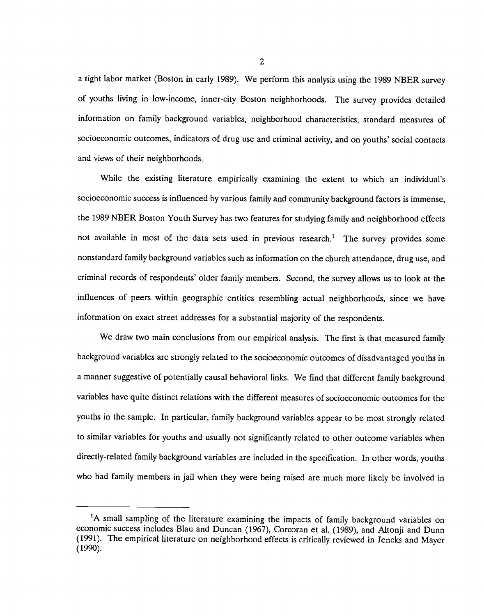a tight labor market (Boston in early 1989). We perform this analysis using the 1989 NBER survey of youths living in low-income, inner-city Boston neighborhoods. The survey provides detailed information on family background variables, neighborhood characteristics, standard measures of socioeconomic outcomes, indicators of drug use and criminal activity, and on youths' social contacts and views of their neighborhoods.

While the existing literature empirically examining the extent to which an individual's socioeconomic success is influenced by various family and community background factors is immense, the 1989 NBER Boston Youth Survey has two features for studying family and neighborhood effects not available in most of the data sets used in previous research.' The survey provides some nonstandard family background variables such as information on the church attendance, drug use, and criminal records of respondents' older family members. Second, the survey allows us to look at the influences of peers within geographic entities resembling actual neighborhoods, since we have information on exact street addresses for a substantial majority of the respondents.

We draw two main conclusions from our empirical analysis. The first is that measured family background variables are strongly related to the socioeconomic outcomes of disadvantaged youths in a manner suggestive of potentially causal behavioral links. We find that different family background variables have quite distinct relations with the different measures of socioeconomic outcomes for the youths in the sample. In particular, family background variables appear to be most strongly related to similar variables for youths and usually not significantly related to other outcome variables when directly-related family background variables are included in the specification. In other words, youths who had family members in jail when they were being raised are much more likely be involved in

<sup>&#</sup>x27;A small sampling of the literature examining the impacts of family background variables on economic success includes Blau and Duncan (1967), Corcoran et al. (1989), and Altonji and Dunn (1991). The empirical literature on neighborhood effects is critically reviewed in Jencks and Mayer (1990).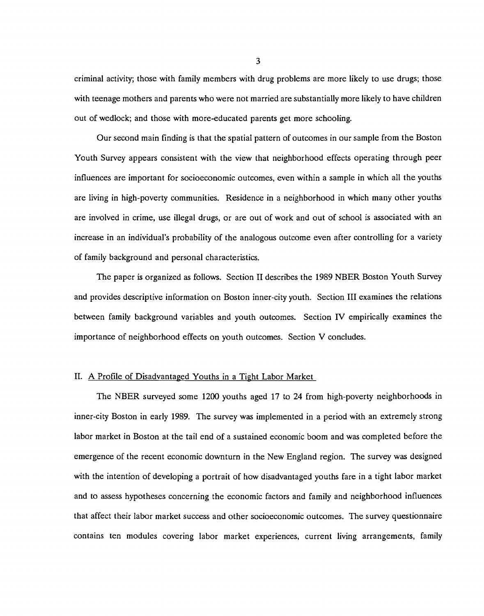criminal activity; those with family members with drug problems are more likely to use drugs; those with teenage mothers and parents who were not married are substantially more likely to have children out of wedlock; and those with more-educated parents get more schooling.

Our second main finding is that the spatial pattern of outcomes in our sample from the Boston Youth Survey appears consistent with the view that neighborhood effects operating through peer influences are important for socioeconomic outcomes, even within a sample in which all the youths are living in high-poverty communities. Residence in a neighborhood in which many other youths are involved in crime, use illegal drugs, or are out of work and out of school is associated with an increase in an individual's probability of the analogous outcome even after controlling for a variety of family background and personal characteristics.

The paper is organized as follows. Section II describes the 1989 NBER Boston Youth Survey and provides descriptive information on Boston inner-city youth. Section III examines the relations between family background variables and youth outcomes. Section IV empirically examines the importance of neighborhood effects on youth outcomes. Section V concludes.

## II. A Profile of Disadvantaged Youths in a Tight Labor Market

The NBER surveyed some 1200 youths aged 17 to 24 from high-poverty neighborhoods in inner-city Boston in early 1989. The survey was implemented in a period with an extremely strong labor market in Boston at the tail end of a sustained economic boom and was completed before the emergence of the recent economic downturn in the New England region. The survey was designed with the intention of developing a portrait of how disadvantaged youths fare in a tight labor market and to assess hypotheses concerning the economic factors and family and neighborhood influences that affect their labor market success and other socioeconomic outcomes. The survey questionnaire contains ten modules covering labor market experiences, current living arrangements, family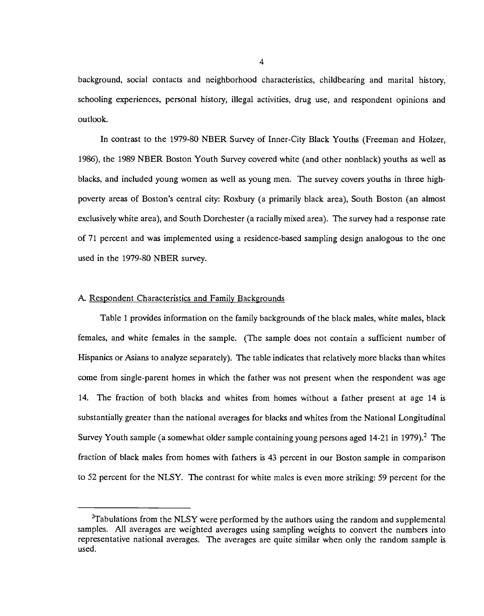background, social contacts and neighborhood characteristics, childbearing and marital history, schooling experiences, personal history, illegal activities, drug use, and respondent opinions and outlook.

In contrast to the 1979-80 NBER Survey of Inner-City Black Youths (Freeman and Holzer, 1986), the 1989 NBER Boston Youth Survey covered white (and other nonbiack) youths as well as blacks, and included young women as well as young men. The survey covers youths in three highpoverty areas of Boston's central city: Roxbury (a primarily black area), South Boston (an almost exclusively white area), and South Dorchester (a racially mixed area). The survey had a response rate of 71 percent and was implemented using a residence-based sampling design analogous to the one used in the 1979-80 NBER survey.

#### A. Respondent Characteristics and Family Backgrounds

Table 1 provides information on the family backgrounds of the black males, white males, black females, and white females in the sample. (The sample does not contain a sufficient number of Hispanics or Asians to analyze separately). The table indicates that relatively more blacks than whites come from single-parent homes in which the father was not present when the respondent was age 14. The fraction of both blacks and whites from homes without a father present at age 14 is substantially greater than the national averages for blacks and whites from the National Longitudinal Survey Youth sample (a somewhat older sample containing young persons aged  $14-21$  in 1979).<sup>2</sup> The fraction of black males from homes with fathers is 43 percent in our Boston sample in comparison to 52 percent for the NLSY. The contrast for white males is even more striking: 59 percent for the

<sup>&</sup>lt;sup>2</sup>Tabulations from the NLSY were performed by the authors using the random and supplemental samples. All averages are weighted averages using sampling weights to convert the numbers into representative national averages. The averages are quite similar when only the random sample is used.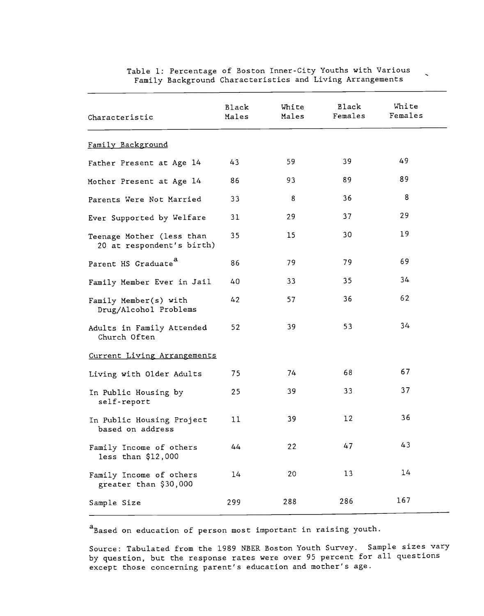| Characteristic                                         | Black<br>Males | White<br>Males | Black<br>Females | White<br>Females |
|--------------------------------------------------------|----------------|----------------|------------------|------------------|
| Family Background                                      |                |                |                  |                  |
| Father Present at Age 14                               | 43             | 59             | 39               | 49               |
| Mother Present at Age 14                               | 86             | 93             | 89               | 89               |
| Parents Were Not Married                               | 33             | 8              | 36               | 8                |
| Ever Supported by Welfare                              | 31             | 29             | 37               | 29               |
| Teenage Mother (less than<br>20 at respondent's birth) | 35             | 15             | 30               | 19               |
| Parent HS Graduate <sup>a</sup>                        | 86             | 79             | 79               | 69               |
| Family Member Ever in Jail                             | 40             | 33             | 35               | 34               |
| Family Member(s) with<br>Drug/Alcohol Problems         | 42             | 57             | 36               | 62               |
| Adults in Family Attended<br>Church Often              | 52             | 39             | 53               | 34               |
| Current Living Arrangements                            |                |                |                  |                  |
| Living with Older Adults                               | 75             | 74             | 68               | 67               |
| In Public Housing by<br>self-report                    | 25             | 39             | 33               | 37               |
| In Public Housing Project<br>based on address          | 11             | 39             | 12               | 36               |
| Family Income of others<br>less than \$12,000          | 44             | 22             | 47               | 43               |
| Family Income of others<br>greater than \$30,000       | 14             | 20             | 13               | 14               |
| Sample Size                                            | 299            | 288            | 286              | 167              |

Table 1: Percentage of Boston Inner-City Youths with Various Family Background Characteristics and Living Arrangements

aBased on education of person most important in raising youth.

Source: Tabulated from the 1989 NBER Boston Youth Survey. Sample sizes vary by question, but the response rates were over 95 percent for all questions except those concerning parent's education and mother's age.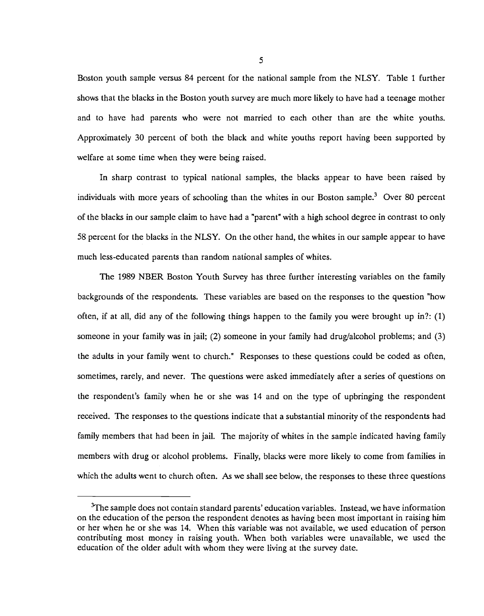Boston youth sample versus 84 percent for the national sample from the NLSY. Table 1 further shows that the blacks in the Boston youth survey are much more likely to have had a teenage mother and to have had parents who were not married to each other than are the white youths. Approximately 30 percent of both the black and white youths report having been supported by welfare at some time when they were being raised.

In sharp contrast to typical national samples, the blacks appear to have been raised by individuals with more years of schooling than the whites in our Boston sample.<sup>3</sup> Over 80 percent of the blacks in our sample claim to have had a "parent" with a high school degree in contrast to only 58 percent for the blacks in the NLSY. On the other hand, the whites in our sample appear to have much less-educated parents than random national samples of whites.

The 1989 NBER Boston Youth Survey has three further interesting variables on the family backgrounds of the respondents. These variables are based on the responses to the question "how often, if at all, did any of the following things happen to the family you were brought up in?: (1) someone in your family was in jail; (2) someone in your family had drug/alcohol problems; and (3) the adults in your family went to church." Responses to these questions could be coded as often, sometimes, rarely, and never. The questions were asked immediately after a series of questions on the respondent's family when he or she was 14 and on the type of upbringing the respondent received. The responses to the questions indicate that a substantial minority of the respondents had family members that had been in jail. The majority of whites in the sample indicated having family members with drug or alcohol problems. Finally, blacks were more likely to come from families in which the adults went to church often. As we shall see below, the responses to these three questions

<sup>&</sup>lt;sup>3</sup>The sample does not contain standard parents' education variables. Instead, we have information on the education of the person the respondent denotes as having been most important in raising him or her when he or she was 14. When this variable was not available, we used education of person contributing most money in raising youth. When both variables were unavailable, we used the education of the older adult with whom they were living at the survey date.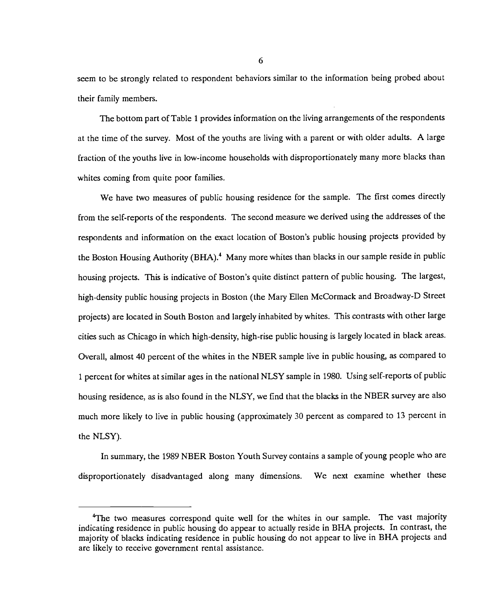seem to be strongly related to respondent behaviors similar to the information being probed about their family members.

The bottom part of Table 1 provides information on the living arrangements of the respondents at the time of the survey. Most of the youths are living with a parent or with older adults. A large fraction of the youths live in low-income households with disproportionately many more blacks than whites coming from quite poor families.

We have two measures of public housing residence for the sample. The first comes directly from the self-reports of the respondents. The second measure we derived using the addresses of the respondents and information on the exact location of Boston's public housing projects provided by the Boston Housing Authority (BHA).<sup>4</sup> Many more whites than blacks in our sample reside in public housing projects. This is indicative of Boston's quite distinct pattern of public housing. The largest, high-density public housing projects in Boston (the Mary Ellen McCormack and Broadway-D Street projects) are located in South Boston and largely inhabited by whites. This contrasts with other large cities such as Chicago in which high-density, high-rise public housing is largely located in black areas. Overall, almost 40 percent of the whites in the NBER sample live in public housing, as compared to 1 percent for whites at similar ages in the national NLSY sample in 1980. Using self-reports of public housing residence, as is also found in the NLSY, we find that the blacks in the NBER survey are also much more likely to live in public housing (approximately 30 percent as compared to 13 percent in the NLSY).

In summary, the 1989 NBER Boston Youth Survey contains a sample of young people who are disproportionately disadvantaged along many dimensions. We next examine whether these

<sup>&</sup>lt;sup>4</sup>The two measures correspond quite well for the whites in our sample. The vast majority indicating residence in public housing do appear to actually reside in BHA projects. In contrast, the majority of blacks indicating residence in public housing do not appear to live in BHA projects and are likely to receive government rental assistance.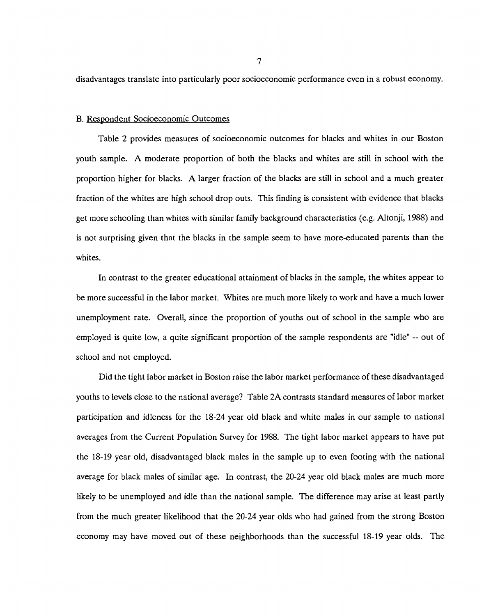disadvantages translate into particularly poor socioeconomic performance even in a robust economy.

#### B. Respondent Socioeconomic Outcomes

Table 2 provides measures of socioeconomic outcomes for blacks and whites in our Boston youth sample. A moderate proportion of both the blacks and whites are still in school with the proportion higher for blacks. A larger fraction of the blacks are still in school and a much greater fraction of the whites are high school drop outs. This finding is consistent with evidence that blacks get more schooling than whites with similar family background characteristics (e.g. Altonji, 1988) and is not surprising given that the blacks in the sample seem to have more-educated parents than the whites.

In contrast to the greater educational attainment of blacks in the sample, the whites appear to be more successful in the labor market. Whites are much more likely to work and have a much lower unemployment rate. Overall, since the proportion of youths out of school in the sample who are employed is quite low, a quite significant proportion of the sample respondents are "idle" -- out of school and not employed.

Did the tight labor market in Boston raise the labor market performance of these disadvantaged youths to levels close to the national average? Table 2A contrasts standard measures of labor market participation and idleness for the 18-24 year old black and white males in our sample to national averages from the Current Population Survey for 1988. The tight labor market appears to have put the 18-19 year old, disadvantaged black males in the sample up to even footing with the national average for black males of similar age. In contrast, the 20-24 year old black males are much more likely to be unemployed and idle than the national sample. The difference may arise at least partly from the much greater likelihood that the 20-24 year olds who had gained from the strong Boston economy may have moved out of these neighborhoods than the successful 18-19 year olds. The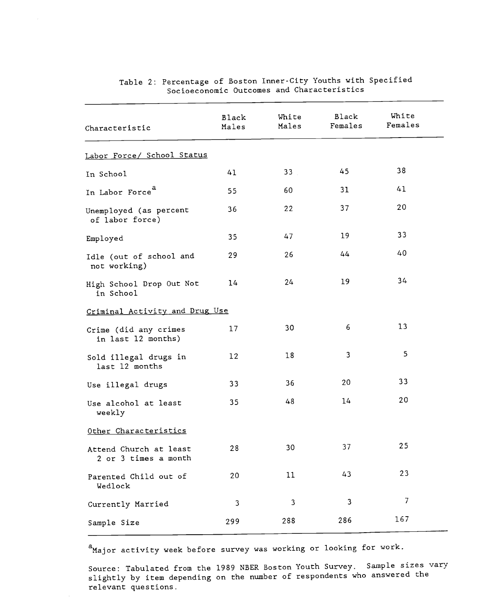| Characteristic                                 | <b>Black</b><br>Males | White<br>Males | Black<br>Females | White<br>Females |
|------------------------------------------------|-----------------------|----------------|------------------|------------------|
| Labor Force/ School Status                     |                       |                |                  |                  |
| In School                                      | 41                    | 33             | 45               | 38               |
| In Labor Force <sup>a</sup>                    | 55                    | 60             | 31               | 41               |
| Unemployed (as percent<br>of labor force)      | 36                    | 22             | 37               | 20               |
| Employed                                       | 35                    | 47             | 19               | 33               |
| Idle (out of school and<br>not working)        | 29                    | 26             | 44               | 40               |
| High School Drop Out Not<br>in School          | 14                    | 24             | 19               | 34               |
| Criminal Activity and Drug Use                 |                       |                |                  |                  |
| Crime (did any crimes<br>in last 12 months)    | 17                    | 30             | 6                | 13               |
| Sold illegal drugs in<br>last 12 months        | $12 \,$               | 18             | 3                | 5                |
| Use illegal drugs                              | 33                    | 36             | 20               | 33               |
| Use alcohol at least<br>weekly                 | 35                    | 48             | 14               | 20               |
| Other Characteristics                          |                       |                |                  |                  |
| Attend Church at least<br>2 or 3 times a month | 28                    | 30             | 37               | 25               |
| Parented Child out of<br>Wedlock               | 20                    | 11             | 43               | 23               |
| Currently Married                              | 3                     | 3              | 3                | 7                |
| Sample Size                                    | 299                   | 288            | 286              | 167              |

## Table 2: Percentage of Boston Inner-City Youths with Specified Socioeconomic Outcomes and Characteristics

<sup>a</sup>Major activity week before survey was working or looking for work.

Source: Tabulated from the 1989 NBER Boston Youth Survey. Sample sizes vary slightly by item depending on the number of respondents who answered the relevant questions.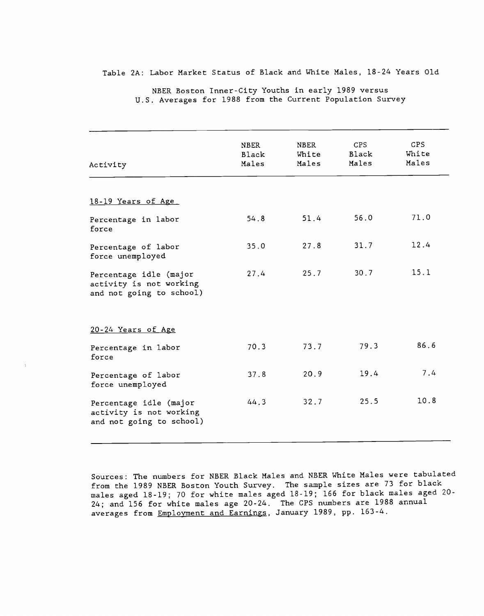Table 2A: Labor Market Status of Black and White Males, 18-24 Years Old

| CPS<br><b>NBER</b><br>NBER<br>Black<br>White<br>Black<br>Males<br>Males<br>Males<br>Activity<br>18-19 Years of Age | CPS<br>White<br>Males |
|--------------------------------------------------------------------------------------------------------------------|-----------------------|
|                                                                                                                    |                       |
|                                                                                                                    |                       |
| 56.0<br>51.4<br>54.8<br>Percentage in labor<br>force                                                               | 71.0                  |
| 31.7<br>27.8<br>35.0<br>Percentage of labor<br>force unemployed                                                    | 12.4                  |
| 30.7<br>25.7<br>27.4<br>Percentage idle (major<br>activity is not working<br>and not going to school)              | 15.1                  |
| 20-24 Years of Age                                                                                                 |                       |
| 79.3<br>73.7<br>70.3<br>Percentage in labor<br>force                                                               | 86.6                  |
| 19.4<br>20.9<br>37.8<br>Percentage of labor<br>force unemployed                                                    | 7.4                   |
| 25.5<br>32.7<br>44.3<br>Percentage idle (major<br>activity is not working<br>and not going to school)              | 10.8                  |

NBER Boston Inner-City Youths in early 1989 versus U.S. Averages for 1988 from the Current Population Survey

Sources: The numbers for NBER Black Males and NBER White Males were tabulated from the 1989 NBER Boston Youth Survey. The sample sizes are 73 for black males aged 18-19; 70 for white males aged 18-19; 166 for black males aged 20- 24; and 156 for white males age 20-24. The CPS numbers are 1988 annual averages from Employment and Earnings, January 1989, pp. 163-4.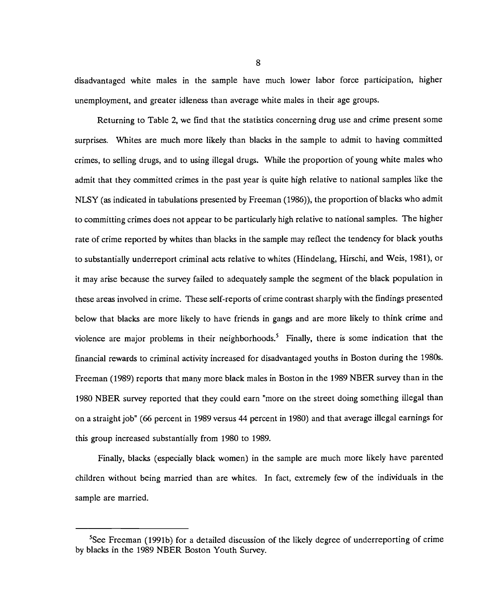disadvantaged white males in the sample have much lower labor force participation, higher unemployment, and greater idleness than average white males in their age groups.

Returning to Table 2, we find that the statistics concerning drug use and crime present some surprises. Whites are much more likely than blacks in the sample to admit to having committed crimes, to selling drugs, and to using illegal drugs. While the proportion of young white males who admit that they committed crimes in the past year is quite high relative to national samples like the NLSY (as indicated in tabulations presented by Freeman (1986)), the proportion of blacks who admit to committing crimes does not appear to be particularly high relative to national samples. The higher rate of crime reported by whites than blacks in the sample may reflect the tendency for black youths to substantially underreport criminal acts relative to whites (Hindelang, Hirschi, and Weis, 1981), or it may arise because the survey failed to adequately sample the segment of the black population in these areas involved in crime. These self-reports of crime contrast sharply with the findings presented below that blacks are more likely to have friends in gangs and are more likely to think crime and violence are major problems in their neighborhoods.<sup>5</sup> Finally, there is some indication that the financial rewards to criminal activity increased for disadvantaged youths in Boston during the 1980s. Freeman (1989) reports that many more black males in Boston in the 1989 NBER survey than in the 1980 NBER survey reported that they could earn "more on the street doing something illegal than on a straight job" (66 percent in 1989 versus 44 percent in 1980) and that average illegal earnings for this group increased substantially from 1980 to 1989.

Finally, blacks (especially black women) in the sample are much more likely have parented children without being married than are whites. In fact, extremely few of the individuals in the sample are married.

 ${}^{5}$ See Freeman (1991b) for a detailed discussion of the likely degree of underreporting of crime by blacks in the 1989 NBER Boston Youth Survey.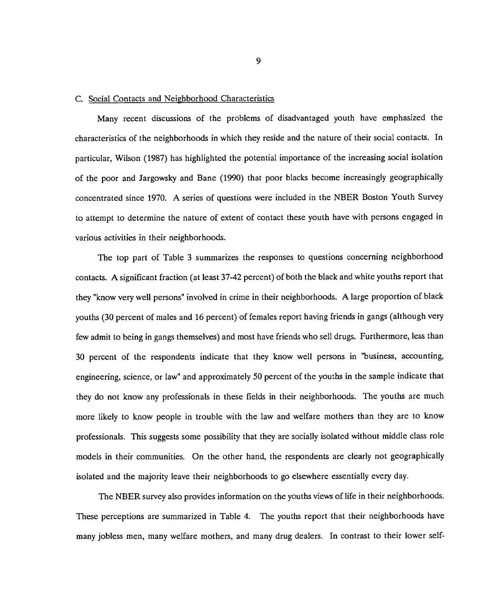#### C. Social Contacts and Neighborhood Characteristics

Many recent discussions of the problems of disadvantaged youth have emphasized the characteristics of the neighborhoods in which they reside and the nature of their social contacts. In particular, Wilson (1987) has highlighted the potential importance of the increasing social isolation of the poor and Jargowsky and Bane (1990) that poor blacks become increasingly geographically concentrated since 1970. A series of questions were included in the NBER Boston Youth Survey to attempt to determine the nature of extent of contact these youth have with persons engaged in various activities in their neighborhoods.

The top part of Table 3 summarizes the responses to questions concerning neighborhood contacts. A significant fraction (at least 37-42 percent) of both the black and white youths report that they "know very well persons" involved in crime in their neighborhoods. A large proportion of black youths (30 percent of males and 16 percent) of females report having friends in gangs (although very few admit to being in gangs themselves) and most have friends who sell drugs. Furthermore, less than 30 percent of the respondents indicate that they know well persons in "business, accounting, engineering, science, or law" and approximately 50 percent of the youths in the sample indicate that they do not know any professionals in these fields in their neighborhoods. The youths are much more likely to know people in trouble with the law and welfare mothers than they are to know professionals. This suggests some possibility that they are socially isolated without middle class role models in their communities. On the other hand, the respondents are clearly not geographically isolated and the majority leave their neighborhoods to go elsewhere essentially every day.

The NBER survey also provides information on the youths views of life in their neighborhoods. These perceptions are summarized in Table 4. The youths report that their neighborhoods have many jobless men, many welfare mothers, and many drug dealers. In contrast to their lower self-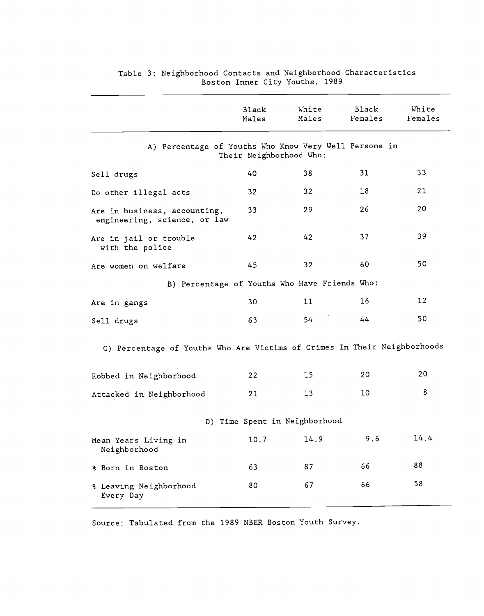|                                                                          | <b>Black</b><br>Males | White<br>Males                | Black<br>Females | White<br>Females |
|--------------------------------------------------------------------------|-----------------------|-------------------------------|------------------|------------------|
| A) Percentage of Youths Who Know Very Well Persons in                    |                       | Their Neighborhood Who:       |                  |                  |
| Sell drugs                                                               | 40                    | 38                            | 31               | 33               |
| Do other illegal acts                                                    | 32                    | 32                            | 18               | 21               |
| Are in business, accounting,<br>engineering, science, or law             | 33                    | 29                            | 26               | 20               |
| Are in jail or trouble<br>with the police                                | 42                    | 42                            | 37               | 39               |
| Are women on welfare                                                     | 45                    | 32                            | 60               | 50               |
| B) Percentage of Youths Who Have Friends Who:                            |                       |                               |                  |                  |
| Are in gangs                                                             | 30                    | 11                            | 16               | 12               |
| Sell drugs                                                               | 63                    | 54                            | 44               | 50               |
| C) Percentage of Youths Who Are Victims of Crimes In Their Neighborhoods |                       |                               |                  |                  |
| Robbed in Neighborhood                                                   | 22                    | 15                            | 20               | 20               |
| Attacked in Neighborhood                                                 | 21                    | 13                            | 10               | 8                |
|                                                                          |                       | D) Time Spent in Neighborhood |                  |                  |
| Mean Years Living in<br>Neighborhood                                     | 10.7                  | 14.9                          | 9.6              | 14.4             |
| % Born in Boston                                                         | 63                    | 87                            | 66               | 88               |
| % Leaving Neighborhood<br>Every Day                                      | 80                    | 67                            | 66               | 58               |
|                                                                          |                       |                               |                  |                  |

#### Table 3: Neighborhood Contacts and Neighborhood Characteristics Boston Inner City Youths, 1989

Source: Tabulated from the 1989 NBER Boston Youth Survey.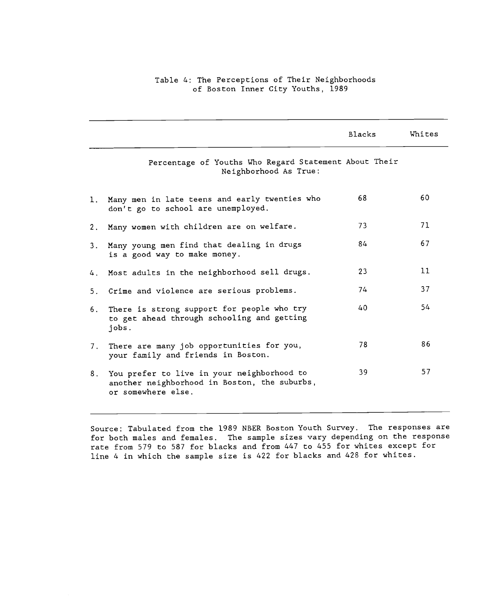## Table 4: The Perceptions of Their Neighborhoods of Boston Inner City Youths, 1989

|       |                                                                                                                  | Blacks | Whites |
|-------|------------------------------------------------------------------------------------------------------------------|--------|--------|
|       | Percentage of Youths Who Regard Statement About Their<br>Neighborhood As True:                                   |        |        |
| 1.    | Many men in late teens and early twenties who<br>don't go to school are unemployed.                              | 68     | 60     |
| 2.    | Many women with children are on welfare.                                                                         | 73     | 71     |
| 3.    | Many young men find that dealing in drugs<br>is a good way to make money.                                        | 84     | 67     |
|       | 4. Most adults in the neighborhood sell drugs.                                                                   | 23     | 11     |
| $5 -$ | Crime and violence are serious problems.                                                                         | 74     | 37     |
| 6.    | There is strong support for people who try<br>to get ahead through schooling and getting<br>jobs.                | 40     | 54     |
| 7.    | There are many job opportunities for you,<br>your family and friends in Boston.                                  | 78     | 86     |
| 8.    | You prefer to live in your neighborhood to<br>another neighborhood in Boston, the suburbs,<br>or somewhere else. | 39     | 57     |

Source: Tabulated from the 1989 NBER Boston Youth Survey. The responses are for both males and females. The sample sizes vary depending on the response rate from 579 to 587 for blacks and from 447 to 455 for whites except for line 4 in which the sample size is 422 for blacks and 428 for whites.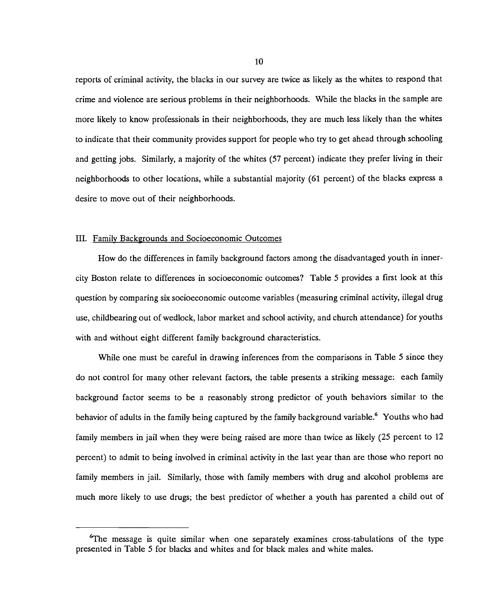reports of criminal activity, the blacks in our survey are twice as likely as the whites to respond that crime and violence are serious problems in their neighborhoods. While the blacks in the sample are more likely to know professionals in their neighborhoods, they are much less likely than the whites to indicate that their community provides support for people who try to get ahead through schooling and getting jobs. Similarly, a majority of the whites (57 percent) indicate they prefer living in their neighborhoods to other locations, while a substantial majority (61 percent) of the blacks express a desire to move out of their neighborhoods.

#### III. Family Backgrounds and Socioeconomic Outcomes

How do the differences in family background factors among the disadvantaged youth in innercity Boston relate to differences in socioeconomic outcomes? Table 5 provides a first look at this question by comparing six socioeconomic outcome variables (measuring criminal activity, illegal drug use, childbearing out of wedlock, labor market and school activity, and church attendance) for youths with and without eight different family background characteristics.

While one must be careful in drawing inferences from the comparisons in Table 5 since they do not control for many other relevant factors, the table presents a striking message: each family background factor seems to be a reasonably strong predictor of youth behaviors similar to the behavior of adults in the family being captured by the family background variable.<sup>6</sup> Youths who had family members in jail when they were being raised are more than twice as likely (25 percent to 12 percent) to admit to being involved in criminal activity in the last year than are those who report no family members in jail. Similarly, those with family members with drug and alcohol problems are much more likely to use drugs; the best predictor of whether a youth has parented a child out of

<sup>6</sup>The message is quite similar when one separately examines cross-tabulations of the type presented in Table 5 for blacks and whites and for black males and white males.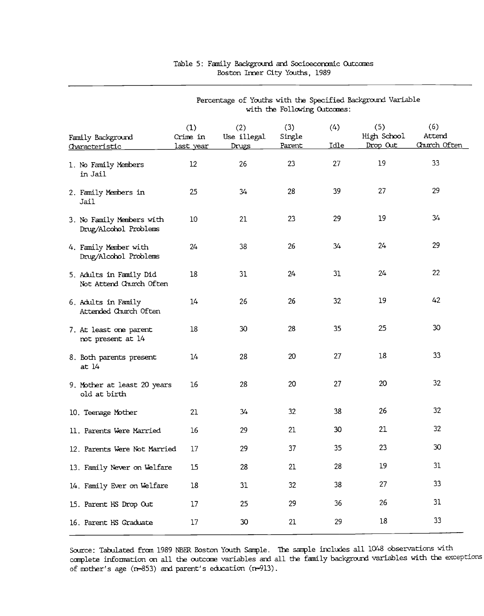|                                                    |                                     |                             | with the Following Outcomes: |             |                                |                               |
|----------------------------------------------------|-------------------------------------|-----------------------------|------------------------------|-------------|--------------------------------|-------------------------------|
| Family Background<br>Characteristic                | (1)<br>Crime in<br><u>last year</u> | (2)<br>Use illegal<br>Drugs | (3)<br>Single<br>Parent      | (4)<br>Idle | (5)<br>High School<br>Drop Out | (6)<br>Attend<br>Church Often |
| 1. No Family Members<br>in Jail                    | 12                                  | 26                          | 23                           | 27          | 19                             | 33                            |
| 2. Family Members in<br>Jail                       | 25                                  | 34                          | 28                           | 39          | 27                             | 29                            |
| 3. No Family Members with<br>Drug/Alcohol Problems | 10 <sup>°</sup>                     | 21                          | 23                           | 29          | 19                             | 34                            |
| 4. Family Member with<br>Drug/Alcohol Problems     | 24                                  | 38                          | 26                           | 34          | 24                             | 29                            |
| 5. Adults in Family Did<br>Not Attend Church Often | 18                                  | 31                          | 24                           | 31          | 24                             | 22                            |
| 6. Adults in Family<br>Attended Church Often       | 14                                  | 26                          | 26                           | 32          | 19                             | 42                            |
| 7. At least one parent<br>not present at 14        | $18\,$                              | 30                          | 28                           | 35          | 25                             | $30\,$                        |
| 8. Both parents present<br>at 14                   | 14                                  | 28                          | 20                           | 27          | 18                             | 33                            |
| 9. Mother at least 20 years<br>old at birth        | 16                                  | 28                          | 20                           | 27          | 20                             | 32                            |
| 10. Teenage Mother                                 | 21                                  | 34                          | 32                           | 38          | 26                             | 32                            |
| 11. Parents Were Married                           | 16                                  | 29                          | 21                           | 30          | 21                             | 32                            |
| 12. Parents Were Not Married                       | 17                                  | 29                          | 37                           | 35          | 23                             | 30                            |
| 13. Family Never on Welfare                        | 15                                  | 28                          | 21                           | 28          | 19                             | 31                            |
| 14. Family Ever on Welfare                         | $18\,$                              | 31                          | 32                           | 38          | 27                             | 33                            |
| 15. Parent HS Drop Out                             | 17                                  | 25                          | 29                           | 36          | 26                             | 31                            |
| 16. Parent HS Graduate                             | 17                                  | 30                          | 21                           | 29          | $18\,$                         | 33                            |

#### Table 5: Family Background and Socioeconomic Outcomes Boston Inner City Youths, 1989

Percentage of Youths with the Specified Background Variable

Source: Tabulated from 1989 NBER Boston Youth Sample. The sample includes all 1048 observations with complete information on all the outcome variables and all the family background variables with the exceptions of mother's age (n=853) and parent's education (n=913).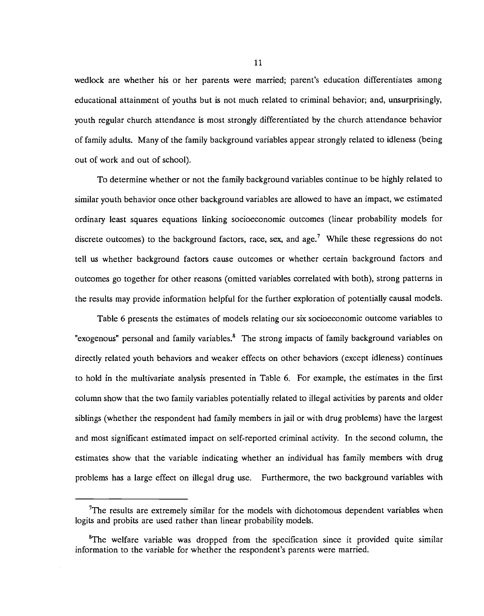wedlock are whether his or her parents were married; parent's education differentiates among educational attainment of youths but is not much related to criminal behavior; and, unsurprisingly, youth regular church attendance is most strongly differentiated by the church attendance behavior of family adults. Many of the family background variables appear strongly related to idleness (being out of work and out of school).

To determine whether or not the family background variables continue to be highly related to similar youth behavior once other background variables are allowed to have an impact, we estimated ordinary least squares equations linking socioeconomic outcomes (linear probability models for discrete outcomes) to the background factors, race, sex, and age.<sup>7</sup> While these regressions do not tell us whether background factors cause outcomes or whether certain background factors and outcomes go together for other reasons (omitted variables correlated with both), strong patterns in the results may provide information helpful for the further exploration of potentially causal models.

Table 6 presents the estimates of models relating our six socioeconomic outcome variables to "exogenous" personal and family variables.<sup>8</sup> The strong impacts of family background variables on directly related youth behaviors and weaker effects on other behaviors (except idleness) continues to hold in the multivariate analysis presented in Table 6. For example, the estimates in the first column show that the two family variables potentially related to illegal activities by parents and older siblings (whether the respondent had family members in jail or with drug problems) have the largest and most significant estimated impact on self-reported criminal activity. In the second column, the estimates show that the variable indicating whether an individual has family members with drug problems has a large effect on illegal drug use. Furthermore, the two background variables with

<sup>&</sup>lt;sup>7</sup>The results are extremely similar for the models with dichotomous dependent variables when logits and probits are used rather than linear probability models.

<sup>&</sup>lt;sup>8</sup>The welfare variable was dropped from the specification since it provided quite similar information to the variable for whether the respondent's parents were married.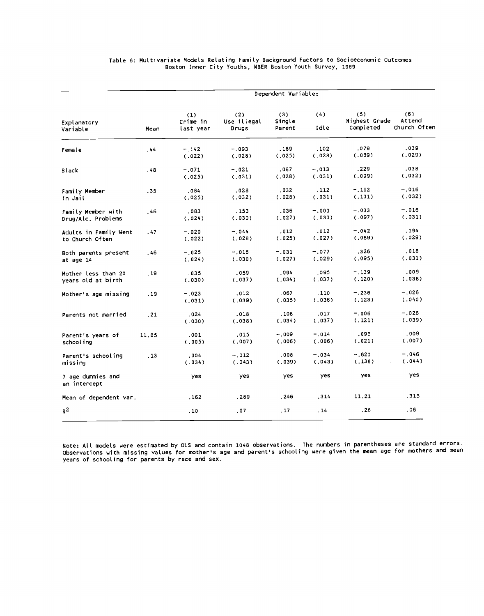|                                           | Dependent Variable: |                              |                             |                         |                   |                                   |                               |  |  |
|-------------------------------------------|---------------------|------------------------------|-----------------------------|-------------------------|-------------------|-----------------------------------|-------------------------------|--|--|
| Explanatory<br>Variable                   | Mean                | (1)<br>Crime in<br>last year | (2)<br>Use illegal<br>Drugs | (3)<br>Single<br>Parent | (4)<br>Idle       | (5)<br>Highest Grade<br>Completed | (6)<br>Attend<br>Church Often |  |  |
| Female                                    | .44                 | $-.142$<br>(.022)            | $-.093$<br>(.028)           | .189<br>(025)           | . 102<br>(.028)   | .079<br>(.089)                    | .039<br>(.029)                |  |  |
| Black                                     | . 48                | $-.071$<br>(.025)            | $-.021$<br>(.031)           | .067<br>(.028)          | $-.013$<br>(.031) | .229<br>(.099)                    | .038<br>(.032)                |  |  |
| Family Member<br>in Jail                  | .35                 | ,084<br>(.025)               | .028<br>(.032)              | . 032<br>(.028)         | . 112<br>(.031)   | $-.192$<br>(.101)                 | $-.016$<br>(.032)             |  |  |
| Family Member with<br>Drug/Alc. Problems  | .46                 | .083<br>(.024)               | . 153<br>(.030)             | .036<br>(.027)          | $-.000$<br>(.030) | $-.033$<br>(.097)                 | $-.016$<br>(031)              |  |  |
| Adults in Family Went<br>to Church Often  | .47                 | $-.020$<br>(.022)            | $-.044$<br>(.028)           | .012<br>(.025)          | .012<br>(.027)    | $-.042$<br>(.089)                 | .194<br>(.029)                |  |  |
| Both parents present<br>at age 14         | .46                 | $-.025$<br>(.024)            | $-.016$<br>(.030)           | $-.031$<br>(.027)       | $-.077$<br>(.029) | .326<br>(.095)                    | .018<br>(.031)                |  |  |
| Mother less than 20<br>years old at birth | . 19                | .035<br>(.030)               | .059<br>(.037)              | .094<br>(.034)          | .095<br>(.037)    | $-.139$<br>(.120)                 | .009<br>(.038)                |  |  |
| Mother's age missing                      | .19                 | $-023$<br>(.031)             | .012<br>(.039)              | .067<br>(.035)          | .110<br>(.038)    | $-.236$<br>(.123)                 | $-.026$<br>(.040)             |  |  |
| Parents not married                       | .21                 | .024<br>(.030)               | .018<br>(.038)              | .108<br>(.034)          | .017<br>(.037)    | $-.006$<br>(.121)                 | $-.026$<br>(.039)             |  |  |
| Parent's years of<br>schooling            | 11.85               | .001<br>(.005)               | .015<br>(.007)              | $-.009$<br>(.006)       | $-.014$<br>(.006) | .095<br>(.021)                    | .009<br>(.007)                |  |  |
| Parent's schooling<br>missing             | .13                 | .004<br>(.034)               | $-.012$<br>(.043)           | .008<br>(.039)          | $-.034$<br>(.043) | $-.620$<br>(.138)                 | $-0.46$<br>(.044)             |  |  |
| 7 age dummies and<br>an intercept         |                     | yes                          | yes                         | yes                     | yes               | yes.                              | yes.                          |  |  |
| Mean of dependent var.                    |                     | .162                         | .289                        | .246                    | .314              | 11.21                             | .315                          |  |  |
| $R^2$                                     |                     | .10                          | .07                         | .17                     | . 14              | .28                               | .06                           |  |  |
|                                           |                     |                              |                             |                         |                   |                                   |                               |  |  |

#### Table 6: Multivariate Models Relating Family Background Factors to Socioeconomic Outcomes Boston Inner City Youths, NBER Boston Youth Survey, 1989

Note: All models were estimated by OLS and contain 1048 observations. The numbers in parentheses are standard errors. Observations with missing values for mother's age and parent's schooling were given the mean age for mothers and mean years of schooling for parents by race and sex.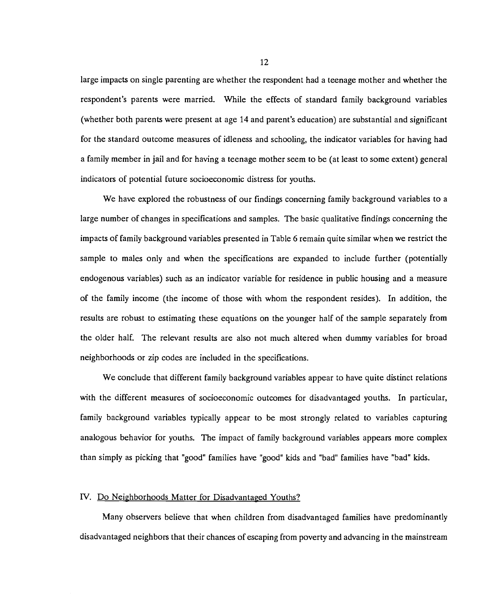large impacts on single parenting are whether the respondent had a teenage mother and whether the respondent's parents were married. While the effects of standard family background variables (whether both parents were present at age 14 and parent's education) are substantial and significant for the standard outcome measures of idleness and schooling, the indicator variables for having had a family member in jail and for having a teenage mother seem to be (at least to some extent) general indicators of potential future socioeconomic distress for youths.

We have explored the robustness of our findings concerning family background variables to a large number of changes in specifications and samples. The basic qualitative findings concerning the impacts of family background variables presented in Table 6 remain quite similar when we restrict the sample to males only and when the specifications are expanded to include further (potentially endogenous variables) such as an indicator variable for residence in public housing and a measure of the family income (the income of those with whom the respondent resides). In addition, the results are robust to estimating these equations on the younger half of the sample separately from the older half. The relevant results are also not much altered when dummy variables for broad neighborhoods or zip codes are included in the specifications.

We conclude that different family background variables appear to have quite distinct relations with the different measures of socioeconomic outcomes for disadvantaged youths. In particular, family background variables typically appear to be most strongly related to variables capturing analogous behavior for youths. The impact of family background variables appears more complex than simply as picking that "good" families have "good" kids and "bad" families have "bad" kids.

#### IV. Do Neighborhoods Matter for Disadvantaged Youths?

Many observers believe that when children from disadvantaged families have predominantly disadvantaged neighbors that their chances of escaping from poverty and advancing in the mainstream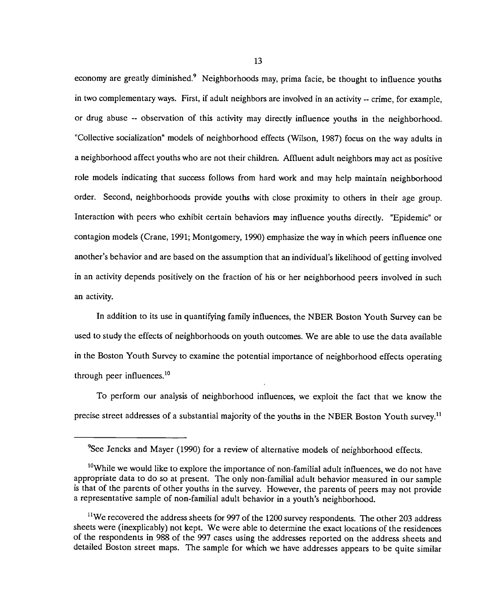economy are greatly diminished.<sup>9</sup> Neighborhoods may, prima facie, be thought to influence youths in two complementary ways. First, if adult neighbors are involved in an activity -- crime, for example, or drug abuse -- observation of this activity may directly influence youths in the neighborhood. "Collective socialization" models of neighborhood effects (Wilson, 1987) focus on the way adults in a neighborhood affect youths who are not their children. Affluent adult neighbors may act as positive role models indicating that success follows from hard work and may help maintain neighborhood order. Second, neighborhoods provide youths with close proximity to others in their age group. Interaction with peers who exhibit certain behaviors may influence youths directly. "Epidemic" or contagion models (Crane, 1991; Montgomery, 1990) emphasize the way in which peers influence one another's behavior and are based on the assumption that an individual's likelihood of getting involved in an activity depends positively on the fraction of his or her neighborhood peers involved in such an activity.

In addition to its use in quantifying family influences, the NBER Boston Youth Survey can be used to study the effects of neighborhoods on youth outcomes. We are able to use the data available in the Boston Youth Survey to examine the potential importance of neighborhood effects operating through peer influences.<sup>10</sup>

To perform our analysis of neighborhood influences, we exploit the fact that we know the precise street addresses of a substantial majority of the youths in the NBER Boston Youth survey.<sup>11</sup>

<sup>&</sup>lt;sup>9</sup>See Jencks and Mayer (1990) for a review of alternative models of neighborhood effects.

 $10$ While we would like to explore the importance of non-familial adult influences, we do not have appropriate data to do so at present. The only non-familial adult behavior measured in our sample is that of the parents of other youths in the survey. However, the parents of peers may not provide a representative sample of non-familial adult behavior in a youth's neighborhood.

 $11$ We recovered the address sheets for 997 of the 1200 survey respondents. The other 203 address sheets were (inexplicably) not kept. We were able to determine the exact locations of the residences of the respondents in 988 of the 997 cases using the addresses reported on the address sheets and detailed Boston street maps. The sample for which we have addresses appears to be quite similar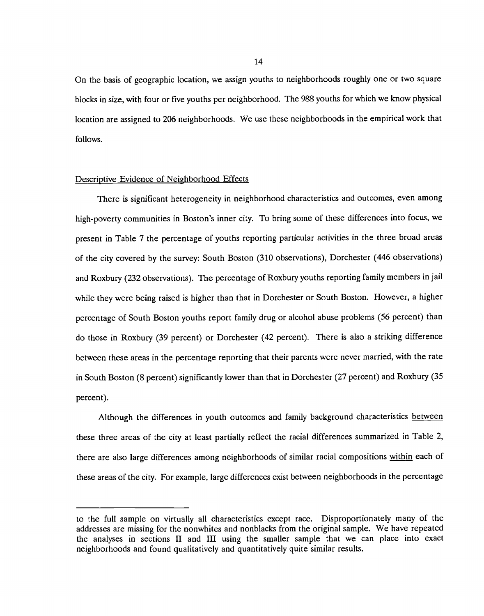On the basis of geographic location, we assign youths to neighborhoods roughly one or two square blocks in size, with four or five youths per neighborhood. The 988 youths for which we know physical location are assigned to 206 neighborhoods. We use these neighborhoods in the empirical work that follows.

#### Descriptive Evidence of Neighborhood Effects

There is significant heterogeneity in neighborhood characteristics and outcomes, even among high-poverty communities in Boston's inner city. To bring some of these differences into focus, we present in Table 7 the percentage of youths reporting particular activities in the three broad areas of the city covered by the survey: South Boston (310 observations), Dorchester (446 observations) and Roxbury (232 observations). The percentage of Roxbury youths reporting family members in jail while they were being raised is higher than that in Dorchester or South Boston. However, a higher percentage of South Boston youths report family drug or alcohol abuse problems (56 percent) than do those in Roxbury (39 percent) or Dorchester (42 percent). There is also a striking difference between these areas in the percentage reporting that their parents were never married, with the rate in South Boston (8 percent) significantly lower than that in Dorchester (27 percent) and Roxbury (35 percent).

Although the differences in youth outcomes and family background characteristics between these three areas of the city at least partially reflect the racial differences summarized in Table 2, there are also large differences among neighborhoods of similar racial compositions within each of these areas of the city. For example, large differences exist between neighborhoods in the percentage

to the full sample on virtually all characteristics except race. Disproportionately many of the addresses are missing for the nonwhites and nonbiacks from the original sample. We have repeated the analyses in sections II and III using the smaller sample that we can place into exact neighborhoods and found qualitatively and quantitatively quite similar results.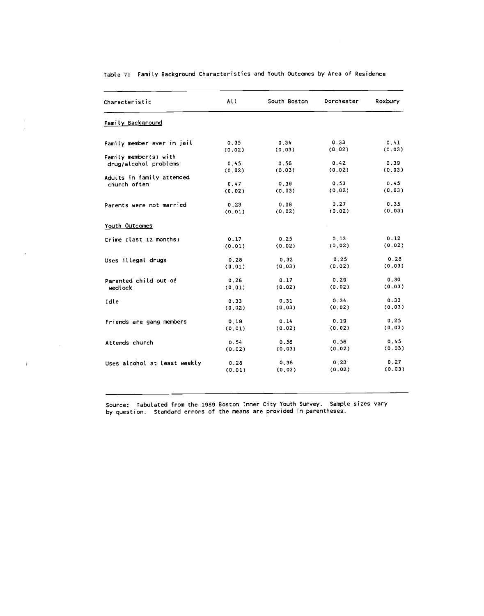| Characteristic               | All    | South Boston | Dorchester | Roxbury |
|------------------------------|--------|--------------|------------|---------|
| Family Background            |        |              |            |         |
| Family member ever in jail   | 0.35   | 0.34         | 0.33       | 0.41    |
|                              | (0.02) | (0.03)       | (0.02)     | (0.03)  |
| Family member(s) with        |        |              |            |         |
| drug/alcohol problems        | 0, 45  | 0.56         | 0.42       | 0.39    |
|                              | (0.02) | (0.03)       | (0.02)     | (0.03)  |
| Adults in family attended    |        |              |            |         |
| church often                 | 0.47   | 0.39         | 0.53       | 0.45    |
|                              | (0.02) | (0.03)       | (0.02)     | (0.03)  |
| Parents were not married     | 0.23   | 0.08         | 0.27       | 0.35    |
|                              | (0.01) | (0.02)       | (0.02)     | (0.03)  |
| Youth Outcomes               |        |              |            |         |
| Crime (last 12 months)       | 0.17   | 0.25         | 0.13       | 0.12    |
|                              | (0.01) | (0.02)       | (0.02)     | (0.02)  |
|                              |        |              |            |         |
| Uses illegal drugs           | 0.28   | 0.32         | 0.25       | 0.28    |
|                              | (0.01) | (0.03)       | (0.02)     | (0.03)  |
| Parented child out of        | 0.26   | 0.17         | 0.29       | 0.30    |
|                              | (0.01) | (0.02)       | (0.02)     | (0.03)  |
| wedlock                      |        |              |            |         |
| Idle                         | 0.33   | 0.31         | 0.34       | 0.33    |
|                              | (0.02) | (0.03)       | (0.02)     | (0.03)  |
| Friends are gang members     | 0.19   | 0.14         | 0.19       | 0.25    |
|                              | (0.01) | (0.02)       | (0.02)     | (0.03)  |
|                              |        |              |            |         |
| Attends church               | 0.54   | 0.56         | 0.56       | 0.45    |
|                              | (0.02) | (0.03)       | (0, 02)    | (0.03)  |
| Uses alcohol at least weekly | 0.28   | 0.36         | 0.23       | 0.27    |
|                              | (0.01) | (0.03)       | (0.02)     | (0.03)  |

Table 7: FamiLy Background Characteristics and Youth Outcomes by Area of Residence

i.<br>A

 $\sim$ 

 $\sim 10$ 

 $\mathcal{L}^{\text{max}}_{\text{max}}$  and  $\mathcal{L}^{\text{max}}_{\text{max}}$ 

Source: Tabulated from the 1989 Boston Inner City Youth Survey. Sanpte sizes vary by question. Standard errors of the means are provided in parentheses.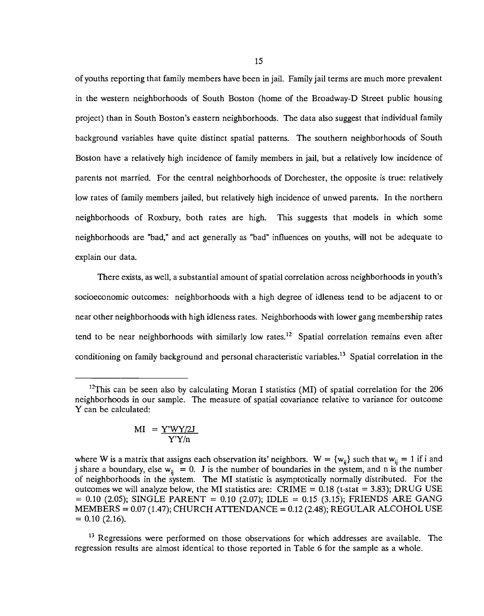of youths reporting that family members have been in jail. Family jail terms are much more prevalent in the western neighborhoods of South Boston (home of the Broadway-D Street public housing project) than in South Boston's eastern neighborhoods. The data also suggest that individual family background variables have quite distinct spatial patterns. The southern neighborhoods of South Boston have a relatively high incidence of family members in jail, but a relatively low incidence of parents not married. For the central neighborhoods of Dorchester, the opposite is true: relatively low rates of family members jailed, but relatively high incidence of unwed parents. In the northern neighborhoods of Roxbury, both rates are high. This suggests that models in which some neighborhoods are "bad," and act generally as "bad" influences on youths, will not be adequate to explain our data.

There exists, as well, a substantial amount of spatial correlation across neighborhoods in youth's socioeconomic outcomes: neighborhoods with a high degree of idleness tend to be adjacent to or near other neighborhoods with high idleness rates. Neighborhoods with lower gang membership rates tend to be near neighborhoods with similarly low rates.<sup>12</sup> Spatial correlation remains even after conditioning on family background and personal characteristic variables.<sup>13</sup> Spatial correlation in the

$$
MI = \frac{Y'WY/2J}{Y'Y/n}
$$

<sup>&</sup>lt;sup>12</sup>This can be seen also by calculating Moran I statistics (MI) of spatial correlation for the 206 neighborhoods in our sample. The measure of spatial covariance relative to variance for outcome Y can be calculated:

where W is a matrix that assigns each observation its' neighbors.  $W = \{w_{ij}\}\$  such that  $w_{ij} = 1$  if i and j share a boundary, else  $w_{ii} = 0$ . J is the number of boundaries in the system, and n is the number of neighborhoods in the system. The MI statistic is asymptotically normally distributed. For the outcomes we will analyze below, the MI statistics are:  $CRIME = 0.18$  (t-stat = 3.83); DRUG USE  $= 0.10$  (2.05); SINGLE PARENT  $= 0.10$  (2.07); IDLE  $= 0.15$  (3.15); FRIENDS ARE GANG  $MEMBERS = 0.07 (1.47); CHURCH ATTENDANCE = 0.12 (2.48); REGULAR ALCOHOL USE$  $= 0.10$  (2.16).

<sup>&</sup>lt;sup>13</sup> Regressions were performed on those observations for which addresses are available. The regression results are almost identical to those reported in Table 6 for the sample as a whole.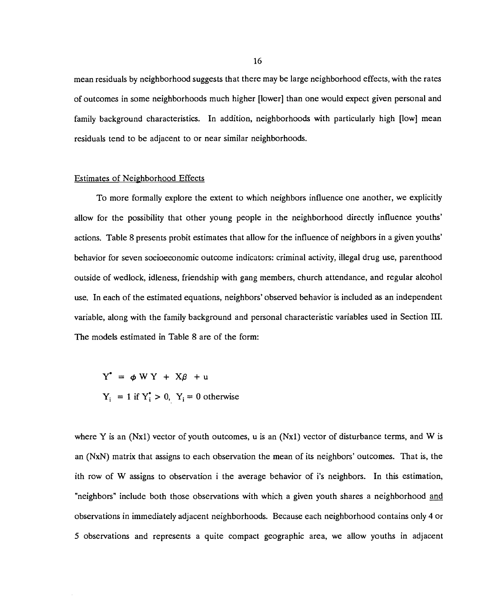mean residuals by neighborhood suggests that there may be large neighborhood effects, with the rates of outcomes in some neighborhoods much higher [lower] than one would expect given personal and family background characteristics. In addition, neighborhoods with particularly high [low] mean residuals tend to be adjacent to or near similar neighborhoods.

#### Estimates of Neighborhood Effects

To more formally explore the extent to which neighbors influence one another, we explicitly allow for the possibility that other young people in the neighborhood directly influence youths' actions. Table 8 presents probit estimates that allow for the influence of neighbors in a given youths' behavior for seven socioeconomic outcome indicators: criminal activity, illegal drug use, parenthood outside of wedlock, idleness, friendship with gang members, church attendance, and regular alcohol use. In each of the estimated equations, neighbors' observed behavior is included as an independent variable, along with the family background and personal characteristic variables used in Section III. The models estimated in Table 8 are of the form:

 $Y^* = \phi WY + X\beta + u$  $Y_i = 1$  if  $Y_i^* > 0$ ,  $Y_i = 0$  otherwise

where Y is an (Nx1) vector of youth outcomes, u is an (Nx1) vector of disturbance terms, and W is an (NxN) matrix that assigns to each observation the mean of its neighbors' outcomes. That is, the ith row of W assigns to observation i the average behavior of i's neighbors. In this estimation, "neighbors" include both those observations with which a given youth shares a neighborhood and observations in immediately adjacent neighborhoods. Because each neighborhood contains only 4 or 5 observations and represents a quite compact geographic area, we allow youths in adjacent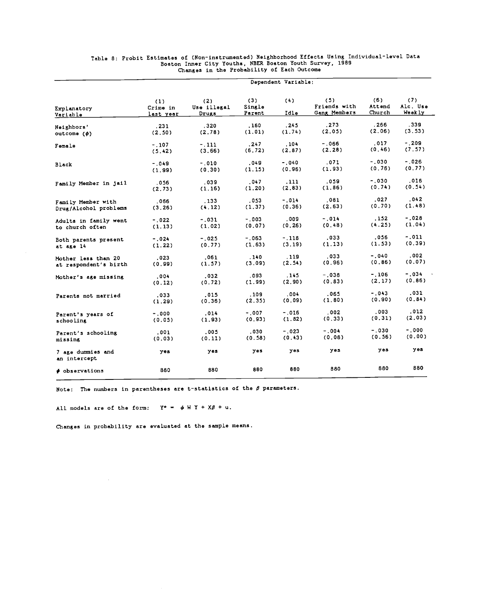|                                   |                              |                             | Dependent Variable:     |             |                                     |                         |                           |
|-----------------------------------|------------------------------|-----------------------------|-------------------------|-------------|-------------------------------------|-------------------------|---------------------------|
| Explanatory<br>Variable           | (1)<br>Crime in<br>last year | (2)<br>Use illegal<br>Drugs | (3)<br>Single<br>Parent | (4)<br>Idle | (5)<br>Friends with<br>Gang Members | (6)<br>Attend<br>Church | (7)<br>Alc. Use<br>Weekly |
|                                   |                              |                             |                         |             |                                     |                         |                           |
| Neighbors'                        | .231                         | .320                        | .160                    | , 245       | .273                                | . 266                   | .339                      |
| outcome (ø)                       | (2.50)                       | (2.78)                      | (1.01)                  | (1.74)      | (2.05)                              | (2,06)                  | (3, 53)                   |
| Female                            | $-.107$                      | $-111$                      | .247                    | .104        | $-0.66$                             | .017                    | $-0.209$                  |
|                                   | (5.42)                       | (3.66)                      | (6.72)                  | (2.87)      | (2.28)                              | (0.46)                  | (7.57)                    |
|                                   |                              |                             |                         |             | .071                                | $-.030$                 | $-.026$                   |
| Black                             | $-.049$                      | $-.010$                     | .049                    | $-.040$     |                                     | (0.76)                  | (0.77)                    |
|                                   | (1.99)                       | (0, 30)                     | (1.15)                  | (0.96)      | (1.93)                              |                         |                           |
| Family Member in jail             | .056                         | .039                        | .047                    | . 111       | .059                                | $-0.30$                 | .016                      |
|                                   | (2.73)                       | (1.16)                      | (1.20)                  | (2.83)      | (1.86)                              | (0.74)                  | (0.54)                    |
|                                   |                              |                             |                         |             |                                     | .027                    | .042                      |
| Family Member with                | ,066                         | . 133                       | .053                    | $-0.14$     | .081                                |                         |                           |
| Drug/Alcohol problems             | (3.26)                       | (4.12)                      | (1.37)                  | (0.36)      | (2.63)                              | (0.70)                  | (1.48)                    |
| Adults in family went             | $-.022$                      | $-.031$                     | $-0.03$                 | .009        | $-.014$                             | .152                    | $-.028$                   |
| to church often                   | (1.13)                       | (1.02)                      | (0.07)                  | (0.26)      | (0.48)                              | (4.25)                  | (1.04)                    |
|                                   |                              |                             |                         |             |                                     |                         |                           |
| Both parents present              | $-.024$                      | $-.025$                     | $-0.63$                 | $-.118$     | .033                                | .056                    | $-.011$                   |
| at age 14                         | (1.22)                       | (0.77)                      | (1.63)                  | (3.19)      | (1.13)                              | (1.53)                  | (0.39)                    |
|                                   |                              |                             |                         |             | .033                                | $-.040$                 | . 002                     |
| Mother less than 20               | .023                         | .061                        | .140                    | . 119       |                                     | (0.86)                  | (0.07)                    |
| at respondent's birth             | (0.99)                       | (1.57)                      | (3.09)                  | (2.54)      | (0.96)                              |                         |                           |
| Mother's age missing              | .004                         | .032                        | . 093                   | .145        | $-.038$                             | $-.106$                 | $-0.34$                   |
|                                   | (0.12)                       | (0.72)                      | (1.99)                  | (2.90)      | (0.83)                              | (2.17)                  | (0, 86)                   |
|                                   |                              |                             |                         |             |                                     |                         |                           |
| Parents not married               | .033                         | .015                        | . 109                   | .004        | .065                                | $-.043$                 | .031                      |
|                                   | (1.29)                       | (0.36)                      | (2.35)                  | (0.09)      | (1.80)                              | (0.90)                  | (0.84)                    |
|                                   |                              |                             | $-.007$                 | $-0.16$     | .002                                | .003                    | .012                      |
| Parent's years of                 | $-.000$                      | .014                        |                         |             | (0, 33)                             | (0.31)                  | (2.03)                    |
| schooling                         | (0.05)                       | (1.93)                      | (0.93)                  | (1.82)      |                                     |                         |                           |
| Parent's schooling                | .001                         | .005                        | .030                    | $-.023$     | $-.004$                             | $-0.30$                 | $-0.000$                  |
| missing                           | (0.03)                       | (0.11)                      | (0.58)                  | (0.43)      | (0.08)                              | (0.56)                  | (0.00)                    |
|                                   |                              |                             |                         |             |                                     |                         |                           |
| 7 age dummies and<br>an intercept | yes                          | yes                         | yes                     | yes         | yes.                                | yes                     | yes                       |
| <b><i>Cobservations</i></b>       | 880                          | 880                         | 880                     | 880         | 880                                 | 880                     | 880                       |

# Table 8: Probit Estimates of (Non-instrumented) Neighborhood Effects Using Individual-level Data<br>Boston Inner City Youths, NBER Boston Youth Survey, 1989<br>Changes in the Probability of Each Outcome

Note: The numbers in parentheses are t-statistics of the  $\beta$  parameters.

All models are of the form:  $Y^* = \phi W Y + X\beta + u$ .

 $\hat{\mathcal{A}}$ 

Changes in probability are evaluated at the sample means.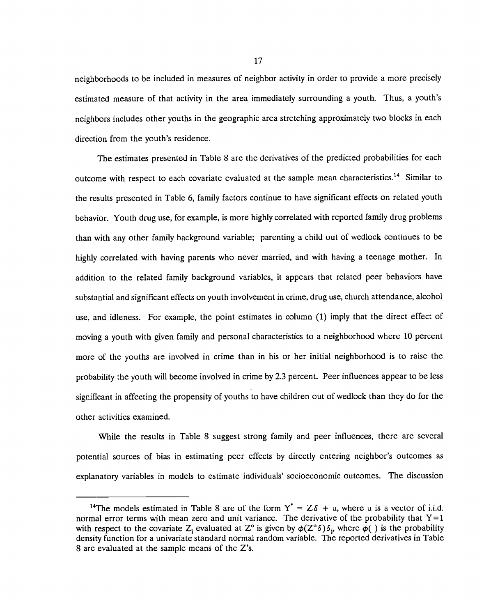neighborhoods to be included in measures of neighbor activity in order to provide a more precisely estimated measure of that activity in the area immediately surrounding a youth. Thus, a youth's neighbors includes other youths in the geographic area stretching approximately two blocks in each direction from the youth's residence.

The estimates presented in Table 8 are the derivatives of the predicted probabilities for each outcome with respect to each covariate evaluated at the sample mean characteristics.<sup>14</sup> Similar to the results presented in Table 6, family factors continue to have significant effects on related youth behavior. Youth drug use, for example, is more highly correlated with reported family drug problems than with any other family background variable; parenting a child out of wedlock continues to be highly correlated with having parents who never married, and with having a teenage mother. In addition to the related family background variables, it appears that related peer behaviors have substantial and significant effects on youth involvement in crime, drug use, church attendance, alcohol use, and idleness. For example, the point estimates in column (1) imply that the direct effect of moving a youth with given family and personal characteristics to a neighborhood where 10 percent more of the youths are involved in crime than in his or her initial neighborhood is to raise the probability the youth will become involved in crime by 2.3 percent. Peer influences appear to be less significant in affecting the propensity of youths to have children out of wedlock than they do for the other activities examined.

While the results in Table 8 suggest strong family and peer influences, there are several potential sources of bias in estimating peer effects by directly entering neighbor's outcomes as explanatory variables in models to estimate individuals' socioeconomic outcomes. The discussion

<sup>&</sup>lt;sup>14</sup>The models estimated in Table 8 are of the form  $Y^* = Z\delta + u$ , where u is a vector of i.i.d. normal error terms with mean zero and unit variance. The derivative of the probability that  $Y=1$ with respect to the covariate Z<sub>i</sub> evaluated at Z<sup>o</sup> is given by  $\phi(Z^{\circ}\delta)\delta_i$ , where  $\phi(\cdot)$  is the probability density function for a univariate standard normal random variable. The reported derivatives in Table 8 are evaluated at the sample means of the Z's.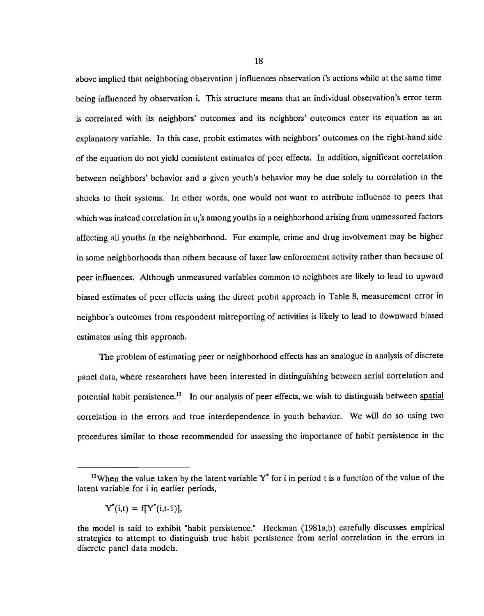above implied that neighboring observation j influences observation i's actions while at the same time being influenced by observation i. This structure means that an individual observation's error term is correlated with its neighbors' outcomes and its neighbors' outcomes enter its equation as an explanatory variable. In this case, probit estimates with neighbors' outcomes on the right-hand side of the equation do not yield consistent estimates of peer effects. In addition, significant correlation between neighbors' behavior and a given youth's behavior may be due solely to correlation in the shocks to their systems. In other words, one would not want to attribute influence to peers that which was instead correlation in u<sub>i</sub>'s among youths in a neighborhood arising from unmeasured factors affecting all youths in the neighborhood. For example, crime and drug involvement may be higher in some neighborhoods than others because of laxer law enforcement activity rather than because of peer influences. Although unmeasured variables common to neighbors are likely to lead to upward biased estimates of peer effects using the direct probit approach in Table 8, measurement error in neighbor's outcomes from respondent misreporting of activities is likely to lead to downward biased estimates using this approach.

The problem of estimating peer or neighborhood effects has an analogue in analysis of discrete panel data, where researchers have been interested in distinguishing between serial correlation and potential habit persistence.<sup>15</sup> In our analysis of peer effects, we wish to distinguish between spatial correlation in the errors and true interdependence in youth behavior. We will do so using two procedures similar to those recommended for assessing the importance of habit persistence in the

<sup>&</sup>lt;sup>15</sup>When the value taken by the latent variable  $Y^*$  for i in period t is a function of the value of the latent variable for i in earlier periods,

 $Y^*(i,t) = f[Y^*(i,t-1)],$ 

the model is said to exhibit "habit persistence." Heckman (1981a,b) carefully discusses empirical strategies to attempt to distinguish true habit persistence from serial correlation in the errors in discrete panel data models.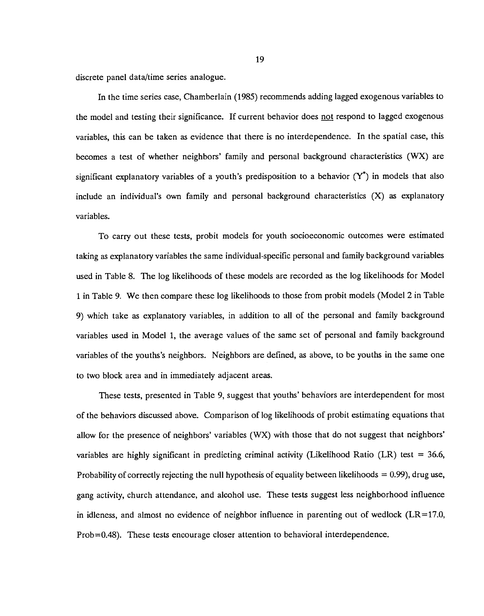discrete panel data/time series analogue.

In the time series case, Chamberlain (1985) recommends adding lagged exogenous variables to the model and testing their significance. If current behavior does not respond to lagged exogenous variables, this can be taken as evidence that there is no interdependence. In the spatial case, this becomes a test of whether neighbors' family and personal background characteristics (WX) are significant explanatory variables of a youth's predisposition to a behavior  $(Y^*)$  in models that also include an individual's own family and personal background characteristics (X) as explanatory variables.

To carry out these tests, probit models for youth socioeconomic outcomes were estimated taking as explanatory variables the same individual-specific personal and family background variables used in Table 8. The log likelihoods of these models are recorded as the log likelihoods for Model I in Table 9. We then compare these log likelihoods to those from probit models (Model 2 in Table 9) which take as explanatory variables, in addition to all of the personal and family background variables used in Model 1, the average values of the same set of personal and family background variables of the youths's neighbors. Neighbors are defined, as above, to be youths in the same one to two block area and in immediately adjacent areas.

These tests, presented in Table 9, suggest that youths' behaviors are interdependent for most of the behaviors discussed above. Comparison of log likelihoods of probit estimating equations that allow for the presence of neighbors' variables (WX) with those that do not suggest that neighbors' variables are highly significant in predicting criminal activity (Likelihood Ratio (LR) test = 36.6, Probability of correctly rejecting the null hypothesis of equality between likelihoods =  $0.99$ ), drug use, gang activity, church attendance, and alcohol use. These tests suggest less neighborhood influence in idleness, and almost no evidence of neighbor influence in parenting out of wedlock  $(LR=17.0,$ Prob=0.48). These tests encourage closer attention to behavioral interdependence.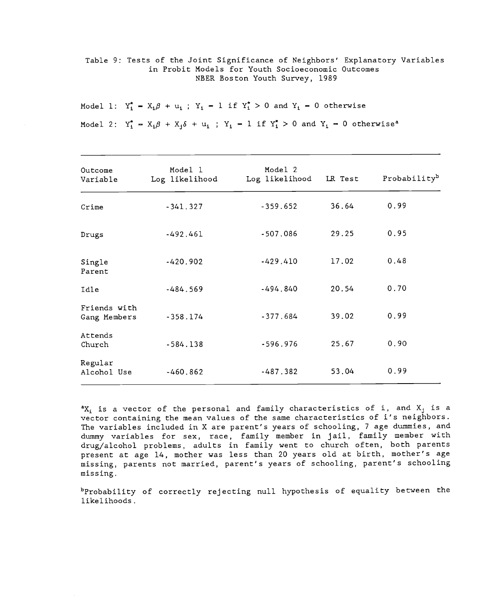Table 9: Tests of the Joint Significance of Neighbors' Explanatory Variables in Probit Models for Youth Socioeconomic Outcomes NBER Boston Youth Survey, 1989

Model 1:  $Y_1^* - X_1 \beta + u_1$ ;  $Y_1 - 1$  if  $Y_1^* > 0$  and  $Y_1 - 0$  otherwise

Model 2:  $Y_1^* = X_1 \beta + X_1 \delta + u_1$  ;  $Y_1 = 1$  if  $Y_1^* > 0$  and  $Y_1 = 0$  otherwise<sup>a</sup>

| Outcome<br>Variable          | Model 1<br>Log likelihood | Model 2<br>Log likelihood | LR Test | Probabilityb |
|------------------------------|---------------------------|---------------------------|---------|--------------|
| Crime                        | $-341.327$                | $-359.652$                | 36.64   | 0.99         |
| Drugs                        | $-492.461$                | $-507.086$                | 29.25   | 0.95         |
| Single<br>Parent             | $-420.902$                | $-429.410$                | 17.02   | 0.48         |
| Idle                         | $-484.569$                | $-494.840$                | 20.54   | 0.70         |
| Friends with<br>Gang Members | $-358.174$                | $-377.684$                | 39.02   | 0.99         |
| Attends<br>Church            | $-584.138$                | $-596.976$                | 25.67   | 0.90         |
| Regular<br>Alcohol Use       | $-460.862$                | $-487.382$                | 53.04   | 0.99         |

 ${}^{\mathtt{a}}\mathbf{X}_i$  is a vector of the personal and family characteristics of i, and  $\mathbf{X}_j$  is a vector containing the mean values of the same characteristics of i's neighbors. The variables included in X are parent's years of schooling, 7 age dummies, and dummy variables for sex, race, family member in jail, family member with drug/alcohol problems, adults in family went to church often, both parents present at age 14, mother was less than 20 years old at birth, mother's age missing, parents not married, parent's years of schooling, parent's schooling missing.

bProbability of correctly rejecting null hypothesis of equality between the likelihoods.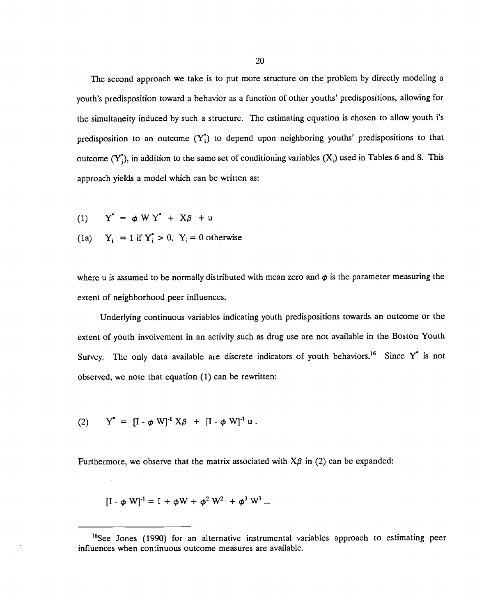The second approach we take is to put more structure on the problem by directly modeling a youth's predisposition toward a behavior as a function of other youths' predispositions, allowing for the simultaneity induced by such a structure. The estimating equation is chosen to allow youth i's predisposition to an outcome  $(Y_i^*)$  to depend upon neighboring youths' predispositions to that outcome  $(Y_i^*$ , in addition to the same set of conditioning variables  $(X_i)$  used in Tables 6 and 8. This approach yields a model which can be written as:

- (1)  $Y^* = \phi W Y^* + X\beta + u$
- (1a)  $Y_i = 1$  if  $Y_i^* > 0$ ,  $Y_i = 0$  otherwise

where u is assumed to be normally distributed with mean zero and  $\phi$  is the parameter measuring the extent of neighborhood peer influences.

Underlying continuous variables indicating youth predispositions towards an outcome or the extent of youth involvement in an activity such as drug use are not available in the Boston Youth Survey. The only data available are discrete indicators of youth behaviors.<sup>16</sup> Since Y<sup>\*</sup> is not observed, we note that equation (1) can be rewritten:

(2) 
$$
Y^* = [I - \phi W]^{-1} X \beta + [I - \phi W]^{-1} u.
$$

 $\mathcal{A}^{\mathcal{A}}$ 

Furthermore, we observe that the matrix associated with  $X\beta$  in (2) can be expanded:

$$
[I - \phi W]^{-1} = I + \phi W + \phi^2 W^2 + \phi^3 W^3 ...
$$

<sup>&</sup>lt;sup>16</sup>See Jones (1990) for an alternative instrumental variables approach to estimating peer influences when continuous outcome measures are available.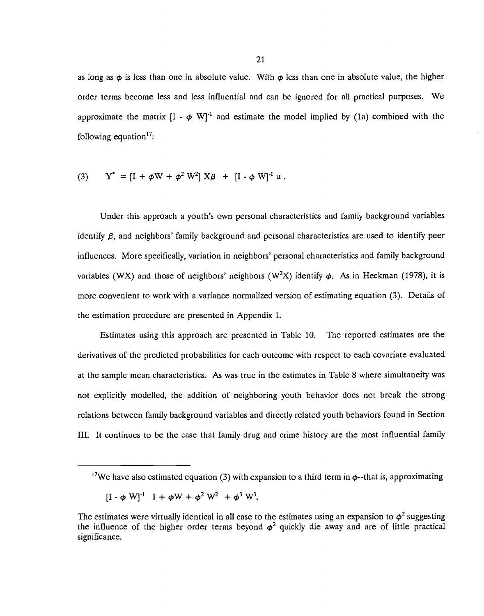as long as  $\phi$  is less than one in absolute value. With  $\phi$  less than one in absolute value, the higher order terms become less and less influential and can be ignored for all practical purposes. We approximate the matrix  $[I - \phi W]^T$  and estimate the model implied by (1a) combined with the following equation $17$ :

(3) 
$$
Y^* = [I + \phi W + \phi^2 W^2] X \beta + [I - \phi W]^1 u
$$
.

Under this approach a youth's own personal characteristics and family background variables identify  $\beta$ , and neighbors' family background and personal characteristics are used to identify peer influences. More specifically, variation in neighbors' personal characteristics and family background variables (WX) and those of neighbors' neighbors (W<sup>2</sup>X) identify  $\phi$ . As in Heckman (1978), it is more convenient to work with a variance normalized version of estimating equation (3). Details of the estimation procedure are presented in Appendix 1.

Estimates using this approach are presented in Table 10. The reported estimates are the derivatives of the predicted probabilities for each outcome with respect to each covariate evaluated at the sample mean characteristics. As was true in the estimates in Table 8 where simultaneity was not explicitly modelled, the addition of neighboring youth behavior does not break the strong relations between family background variables and directly related youth behaviors found in Section HI. It continues to be the case that family drug and crime history are the most influential family

<sup>&</sup>lt;sup>17</sup>We have also estimated equation (3) with expansion to a third term in  $\phi$ -that is, approximating

 $[I - \phi W]^1$   $I + \phi W + \phi^2 W^2 + \phi^3 W^3$ .

The estimates were virtually identical in all case to the estimates using an expansion to  $\phi^2$  suggesting the influence of the higher order terms beyond  $\phi^2$  quickly die away and are of little practical significance.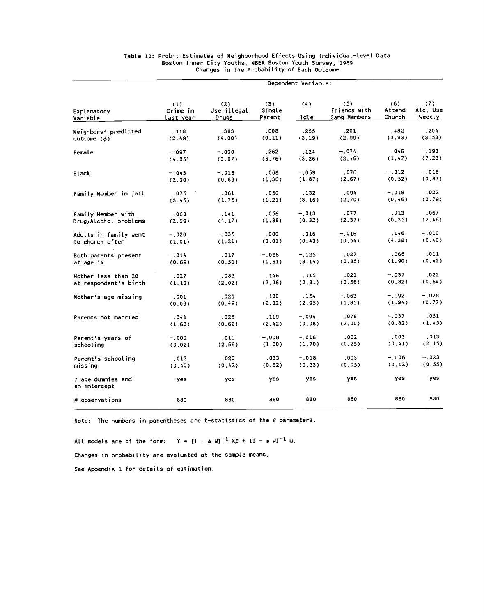|                                   | Dependent Variable:                 |                             |                         |             |                                     |                         |                           |  |
|-----------------------------------|-------------------------------------|-----------------------------|-------------------------|-------------|-------------------------------------|-------------------------|---------------------------|--|
| Explanatory<br>Variable           | (1)<br>Crime in<br><u>last year</u> | (2)<br>Use illegal<br>Orugs | (3)<br>Single<br>Parent | (4)<br>Idle | (5)<br>Friends with<br>Gang Members | (6)<br>Attend<br>Church | (7)<br>Alc. Use<br>Weekly |  |
| Neighbors' predicted              | .118                                | .383                        | .008                    | .255        | .201<br>(2.99)                      | . 482<br>(3.93)         | . 204<br>(3.53)           |  |
| outcome $(\phi)$                  | (2.49)                              | (4.00)                      | (0.11)                  | (3.19)      |                                     |                         |                           |  |
| Female                            | $-.097$                             | $-.090$                     | .262                    | .124        | $-.074$                             | .046                    | -.193                     |  |
|                                   | (4.85)                              | (3.07)                      | (6.76)                  | (3.26)      | (2.49)                              | (1.47)                  | (7.23)                    |  |
| Black                             | $-.043$                             | $-.018$                     | .068                    | -.059       | .076                                | $-.012$                 | $-.018$                   |  |
|                                   | (2,00)                              | (0.83)                      | (1.36)                  | (1.87)      | (2.67)                              | (0.52)                  | (0.83)                    |  |
| Family Member in jail             | .075                                | .061                        | .050                    | .132        | .094                                | $-.018$                 | .022                      |  |
|                                   | (3.45)                              | (1.75)                      | (1.21)                  | (3.16)      | (2.70)                              | (0.46)                  | (0.79)                    |  |
| Family Member with                | .063                                | .141                        | .056                    | $-.013$     | .077                                | .013                    | .067                      |  |
| Drug/Alcohol problems             | (2.99)                              | (4.17)                      | (1.38)                  | (0.32)      | (2.37)                              | (0.35)                  | (2.48)                    |  |
| Adults in family went             | $-.020$                             | $-.035$                     | .000                    | .016        | $-.016$                             | .146                    | $-.010$                   |  |
| to church often                   | (1.01)                              | (1.21)                      | (0.01)                  | (0.43)      | (0.54)                              | (4.38)                  | (0.40)                    |  |
| Both parents present              | $-.014$                             | .017                        | $-0.66$                 | $-.125$     | .027                                | .066                    | .011                      |  |
| at age 14                         | (0.69)                              | (0.51)                      | (1.61)                  | (3.14)      | (0.85)                              | (1.90)                  | (0.42)                    |  |
| Mother less than 20               | .027                                | .083                        | .146                    | .115        | .021                                | $-.037$                 | .022                      |  |
| at respondent's birth             | (1.10)                              | (2.02)                      | (3.08)                  | (2.31)      | (0.56)                              | (0.82)                  | (0.64)                    |  |
| Mother's age missing              | .001                                | .021                        | . 100                   | .154        | $-.063$                             | $-.092$                 | $-.028$                   |  |
|                                   | (0.03)                              | (0.49)                      | (2.02)                  | (2.95)      | (1.35)                              | (1.94)                  | (0.77)                    |  |
| Parents not married               | .041                                | .025                        | . 119                   | $-.004$     | .078                                | $-.037$                 | , 051                     |  |
|                                   | (1.60)                              | (0.62)                      | (2.42)                  | (0.08)      | (2.00)                              | (0.82)                  | (1.45)                    |  |
| Parent's years of                 | $-.000$                             | .019                        | $-.009$                 | $-.016$     | .002.                               | .003                    | .013                      |  |
| schooling                         | (0.02)                              | (2.66)                      | (1.00)                  | (1.70)      | (0.25)                              | (0.41)                  | (2.15)                    |  |
| Parent's schooling                | .013                                | .020                        | .033                    | $-.018$     | .003                                | $-.006$                 | $-.023$                   |  |
| missing                           | (0.40)                              | (0.42)                      | (0.62)                  | (0.33)      | (0.05)                              | (0.12)                  | (0.55)                    |  |
| 7 age dummies and<br>an intercept | yes                                 | yes                         | yes                     | yes         | yes                                 | yes                     | yes                       |  |
| # observations                    | 880                                 | 880                         | 880                     | 880         | 880                                 | 880                     | 880                       |  |

#### Table 10: Probit Estimates of Neighborhood Effects Using Individual-level Data Boston Inner City Youths, NBER Boston Youth Survey, 1989 Changes in the ProbabiLity of Each Outcome

Note: The numbers in parentheses are t-statistics of the  $\beta$  parameters.

All models are of the form:  $Y = [1 - \phi W]^{-1} X \beta + [1 - \phi W]^{-1} U$ .

Changes in probability are evaluated at the sample means.

See Appendix 1 for details of estimation.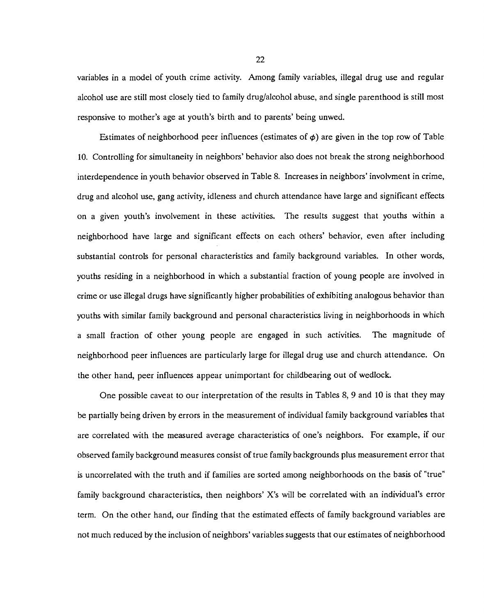variables in a model of youth crime activity. Among family variables, illegal drug use and regular alcohol use are still most closely tied to family drug/alcohol abuse, and single parenthood is still most responsive to mother's age at youth's birth and to parents' being unwed.

Estimates of neighborhood peer influences (estimates of  $\phi$ ) are given in the top row of Table 10. Controlling for simultaneity in neighbors' behavior also does not break the strong neighborhood interdependence in youth behavior observed in Table 8. Increases in neighbors' involvment in crime, drug and alcohol use, gang activity, idleness and church attendance have large and significant effects on a given youth's involvement in these activities. The results suggest that youths within a neighborhood have large and significant effects on each others' behavior, even after including substantial controls for personal characteristics and family background variables. In other words, youths residing in a neighborhood in which a substantial fraction of young people are involved in crime or use illegal drugs have significantly higher probabilities of exhibiting analogous behavior than youths with similar family background and personal characteristics living in neighborhoods in which a small fraction of other young people are engaged in such activities. The magnitude of neighborhood peer influences are particularly large for illegal drug use and church attendance. On the other hand, peer influences appear unimportant for childbearing out of wedlock.

One possible caveat to our interpretation of the results in Tables 8, 9 and 10 is that they may be partially being driven by errors in the measurement of individual family background variables that are correlated with the measured average characteristics of one's neighbors. For example, if our observed family background measures consist of true family backgrounds plus measurement error that is uncorrelated with the truth and if families are sorted among neighborhoods on the basis of "true" family background characteristics, then neighbors' X's will be correlated with an individual's error term. On the other hand, our finding that the estimated effects of family background variables are not much reduced by the inclusion of neighbors' variables suggests that our estimates of neighborhood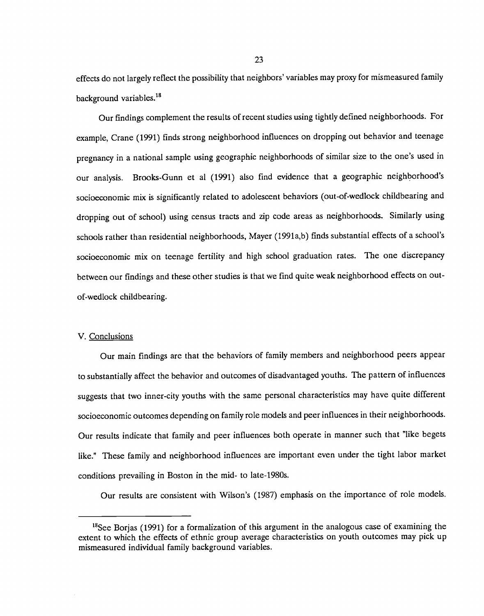effects do not largely reflect the possibility that neighbors' variables may proxy for mismeasured family background variables.<sup>18</sup>

Our findings complement the results of recent studies using tightly defined neighborhoods. For example, Crane (1991) finds strong neighborhood influences on dropping out behavior and teenage pregnancy in a national sample using geographic neighborhoods of similar size to the one's used in our analysis. Brooks-Gunn et al (1991) also find evidence that a geographic neighborhood's socioeconomic mix is significantly related to adolescent behaviors (out-of-wedlock childbearing and dropping out of school) using census tracts and zip code areas as neighborhoods. Similarly using schools rather than residential neighborhoods, Mayer (1991a,b) finds substantial effects of a school's socioeconomic mix on teenage fertility and high school graduation rates. The one discrepancy between our findings and these other studies is that we find quite weak neighborhood effects on outof-wedlock childbearing.

## V. Conclusions

Our main findings are that the behaviors of family members and neighborhood peers appear to substantially affect the behavior and outcomes of disadvantaged youths. The pattern of influences suggests that two inner-city youths with the same personal characteristics may have quite different socioeconomic outcomes depending on family role models and peer influences in their neighborhoods. Our results indicate that family and peer influences both operate in manner such that "like begets like." These family and neighborhood influences are important even under the tight labor market conditions prevailing in Boston in the mid- to Iate-1980s.

Our results are consistent with Wilson's (1987) emphasis on the importance of role models.

 $18$ See Borjas (1991) for a formalization of this argument in the analogous case of examining the extent to which the effects of ethnic group average characteristics on youth outcomes may pick up mismeasured individual family background variables.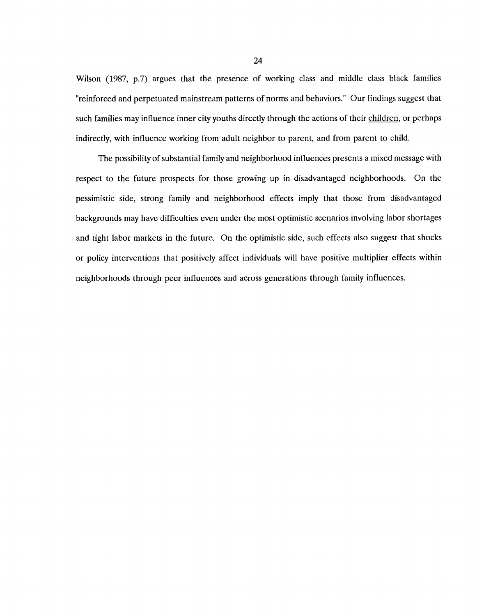Wilson (1987, p.7) argues that the presence of working class and middle class black families "reinforced and perpetuated mainstream patterns of norms and behaviors." Our findings suggest that such families may influence inner city youths directly through the actions of their children, or perhaps indirectly, with influence working from adult neighbor to parent, and from parent to child.

The possibility of substantial family and neighborhood influences presents a mixed message with respect to the future prospects for those growing up in disadvantaged neighborhoods. On the pessimistic side, strong family and neighborhood effects imply that those from disadvantaged backgrounds may have difficulties even under the most optimistic scenarios involving labor shortages and tight labor markets in the future. On the optimistic side, such effects also suggest that shocks or policy interventions that positively affect individuals will have positive multiplier effects within neighborhoods through peer influences and across generations through family influences.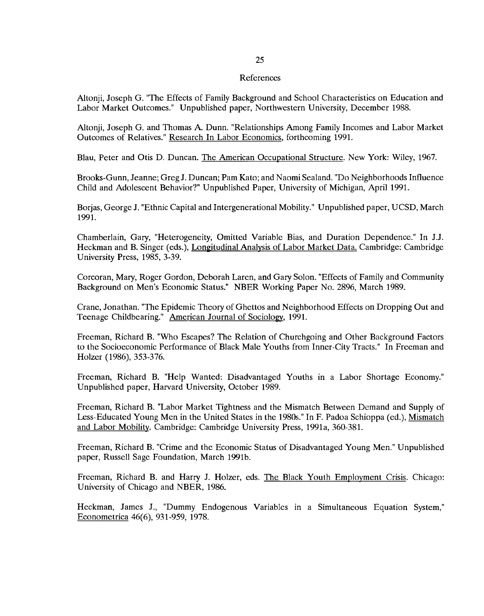#### References

Altonji, Joseph G. "The Effects of Family Background and School Characteristics on Education and Labor Market Outcomes." Unpublished paper, Northwestern University, December 1988.

Altonji, Joseph G. and Thomas A. Dunn. "Relationships Among Family Incomes and Labor Market Outcomes of Relatives." Research In Labor Economics, forthcoming 1991.

Blau, Peter and Otis D. Duncan. The American Occupational Structure. New York: Wiley, 1967.

Brooks-Gunn, Jeanne; Greg J. Duncan; Pam Kato; and Naomi Sealand. "Do Neighborhoods Influence Child and Adolescent Behavior?" Unpublished Paper, University of Michigan, April 1991.

Borjas, George J. "Ethnic Capital and Intergenerational Mobility." Unpublished paper, UCSD, March 1991.

Chamberlain, Gary, "Heterogeneity, Omitted Variable Bias, and Duration Dependence." In J.J. Heckman and B. Singer (eds.), Longitudinal Analysis of Labor Market Data. Cambridge: Cambridge University Press, 1985, 3-39.

Corcoran, Mary, Roger Gordon, Deborah Laren, and Gary Solon. "Effects of Family and Community Background on Men's Economic Status." NBER Working Paper No. 2896, March 1989.

Crane, Jonathan. "The Epidemic Theory of Ghettos and Neighborhood Effects on Dropping Out and Teenage Childbearing." American Journal of Sociology, 1991.

Freeman, Richard B. "Who Escapes? The Relation of Churchgoing and Other Background Factors to the Socioeconomic Performance of Black Male Youths from Inner-City Tracts." In Freeman and Holzer (1986), 353-376.

Freeman, Richard B. "Help Wanted: Disadvantaged Youths in a Labor Shortage Economy." Unpublished paper, Harvard University, October 1989.

Freeman, Richard B. "Labor Market Tightness and the Mismatch Between Demand and Supply of Less-Educated Young Men in the United States in the 1980s." In F. Padoa Schioppa (ed.), Mismatch and Labor Mobility. Cambridge: Cambridge University Press, 1991a, 360-381.

Freeman, Richard B. "Crime and the Economic Status of Disadvantaged Young Men." Unpublished paper, Russell Sage Foundation, March 1991b.

Freeman, Richard B. and Harry J. Holzer, eds. The Black Youth Employment Crisis. Chicago: University of Chicago and NBER, 1986.

Heckman, James J., "Dummy Endogenous Variables in a Simultaneous Equation System," Econometrica 46(6), 931-959, 1978.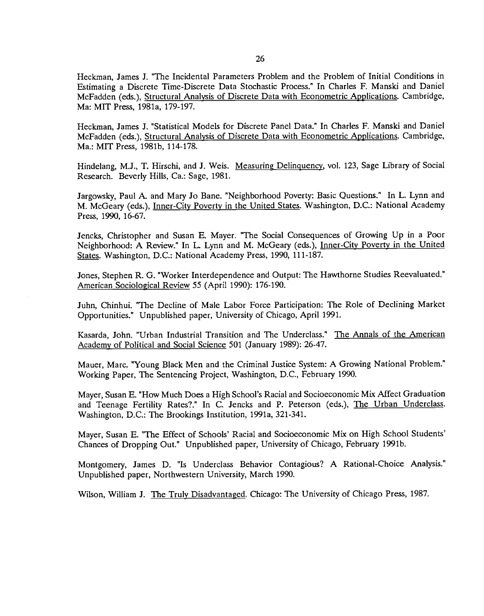Heckman, James J. "The Incidental Parameters Problem and the Problem of Initial Conditions in Estimating a Discrete Time-Discrete Data Stochastic Process." In Charles F. Manski and Daniel McFadden (eds.), Structural Analysis of Discrete Data with Econometric Applications. Cambridge, Ma: MIT Press, 1981a, 179-197.

Heckman, James J. "Statistical Models for Discrete Panel Data." In Charles F. Manski and Daniel McFadden (eds.), Structural Analysis of Discrete Data with Econometric Applications. Cambridge, Ma.: MIT Press, 1981b, 114-178.

Hindelang, M.J., T. Hirschi, and J. Weis. Measuring Delinquency. vol. 123, Sage Library of Social Research. Beverly Hills, Ca.: Sage, 1981.

Jargowsky, Paul A. and Mary Jo Bane. "Neighborhood Poverty: Basic Questions." In L. Lynn and M. McGeary (eds.), Inner-City Poverty in the United States. Washington, D.C.: National Academy Press, 1990, 16-67.

Jencks, Christopher and Susan E. Mayer. "The Social Consequences of Growing Up in a Poor Neighborhood: A Review." In L. Lynn and M. McGeary (eds.), Inner-City Poverty in the United States. Washington, D.C.: National Academy Press, 1990, 111-187.

Jones, Stephen R. G. "Worker Interdependence and Output: The Hawthorne Studies Reevaluated." American Sociological Review 55 (April 1990): 176-190.

Juhn, Chinhui. "The Decline of Male Labor Force Participation: The Role of Declining Market Opportunities." Unpublished paper, University of Chicago, April 1991.

Kasarda, John. "Urban Industrial Transition and The Underclass." The Annals of the American Academy of Political and Social Science 501 (January 1989): 26-47.

Mauer, Marc. "Young Black Men and the Criminal Justice System: A Growing National Problem." Working Paper, The Sentencing Project, Washington, D.C., February 1990.

Mayer, Susan E. "How Much Does a High School's Racial and Socioeconomic Mix Affect Graduation and Teenage Fertility Rates?." In C. Jencks and P. Peterson (eds.), The Urban Underclass. Washington, D.C.: The Brookings Institution, 1991a, 321-341.

Mayer, Susan E. "The Effect of Schools' Racial and Socioeconomic Mix on High School Students' Chances of Dropping Out." Unpublished paper, University of Chicago, February 1991b.

Montgomery, James D. "Is Underclass Behavior Contagious? A Rational-Choice Analysis." Unpublished paper, Northwestern University, March 1990.

Wilson, William J. The Truly Disadvantaged. Chicago: The University of Chicago Press, 1987.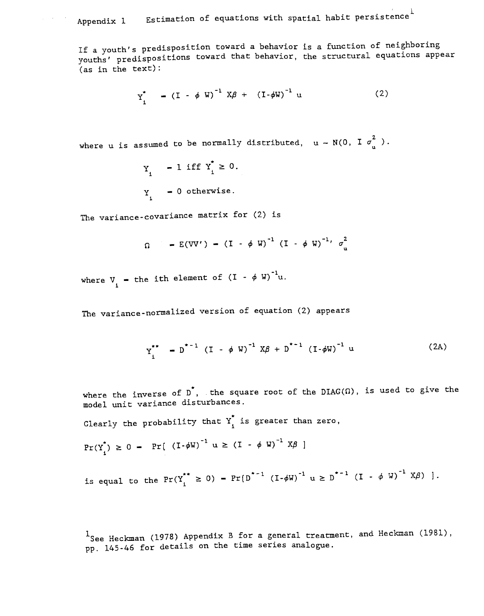## Appendix 1 Estimation of equations with spatial habit persistence

If a youth's predisposition toward a behavior is a function of neighboring youths' predispositions toward that behavior, the structural equations appear (as in the text):

$$
Y_{i}^{*} = (I - \phi W)^{-1} X\beta + (I - \phi W)^{-1} U
$$
 (2)

where u is assumed to be normally distributed,  $u - N(0, I \sigma_{n}^{2})$ .

$$
Y_i = 1 \text{ iff } Y_i^* \ge 0.
$$
  

$$
Y_i = 0 \text{ otherwise.}
$$

The variance-covariance matrix for  $(2)$  is

 $\mu_{\rm{eff}}$  ,  $\mu_{\rm{eff}}$  ,  $\mu_{\rm{eff}}$ 

$$
\Omega = E(VV') - (I - \phi W)^{-1} (I - \phi W)^{-1} \sigma_u^2
$$

where  $V_i$  - the ith element of  $(I - \phi W)^{-1}u$ .

The variance-normalized version of equation (2) appears

$$
Y_i^{**} - D^{*-1} (I - \phi W)^{-1} X\beta + D^{*-1} (I - \phi W)^{-1} u
$$
 (2A)

where the inverse of  $D^*$ , the square root of the DIAG( $\Omega$ ), is used to give the model unit variance disturbances.

Clearly the probability that  $Y_i^*$  is greater than zero,

$$
Pr(Y_i^*) \geq 0 - Pr[(I - \phi W)^{-1} u \geq (I - \phi W)^{-1} X\beta]
$$

is equal to the  $Pr(Y_i^{**} \ge 0) - Pr(D^{*-1} (I - \phi W)^{-1} u \ge D^{*-1} (I - \phi W)^{-1} X\beta)$ .

<sup>1</sup>See Heckman (1978) Appendix B for a general treatment, and Heckman (1981), pp. 145-46 for details on the time series analogue.